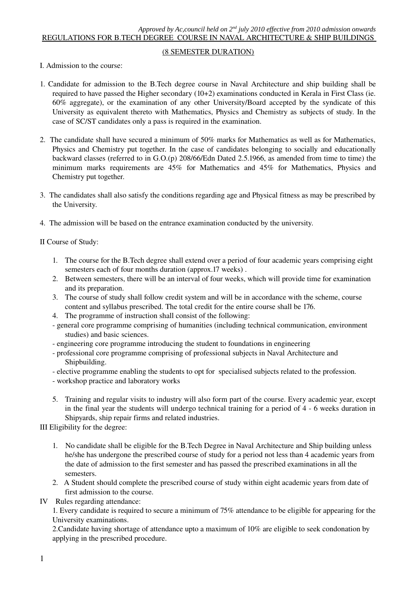# (8 SEMESTER DURATION)

I. Admission to the course:

- 1. Candidate for admission to the B.Tech degree course in Naval Architecture and ship building shall be required to have passed the Higher secondary (10+2) examinations conducted in Kerala in First Class (ie. 60% aggregate), or the examination of any other University/Board accepted by the syndicate of this University as equivalent thereto with Mathematics, Physics and Chemistry as subjects of study. In the case of SC/ST candidates only a pass is required in the examination.
- 2. The candidate shall have secured a minimum of 50% marks for Mathematics as well as for Mathematics, Physics and Chemistry put together. In the case of candidates belonging to socially and educationally backward classes (referred to in G.O.(p) 208/66/Edn Dated 2.5.1966, as amended from time to time) the minimum marks requirements are 45% for Mathematics and 45% for Mathematics, Physics and Chemistry put together.
- 3. The candidates shall also satisfy the conditions regarding age and Physical fitness as may be prescribed by the University.
- 4. The admission will be based on the entrance examination conducted by the university.

II Course of Study:

- 1. The course for the B.Tech degree shall extend over a period of four academic years comprising eight semesters each of four months duration (approx.17 weeks) .
- 2. Between semesters, there will be an interval of four weeks, which will provide time for examination and its preparation.
- 3. The course of study shall follow credit system and will be in accordance with the scheme, course content and syllabus prescribed. The total credit for the entire course shall be 176.
- 4. The programme of instruction shall consist of the following:
- general core programme comprising of humanities (including technical communication, environment studies) and basic sciences.
- engineering core programme introducing the student to foundations in engineering
- professional core programme comprising of professional subjects in Naval Architecture and Shipbuilding.
- elective programme enabling the students to opt for specialised subjects related to the profession.
- workshop practice and laboratory works
- 5. Training and regular visits to industry will also form part of the course. Every academic year, except in the final year the students will undergo technical training for a period of 4 - 6 weeks duration in Shipyards, ship repair firms and related industries.

III Eligibility for the degree:

- 1. No candidate shall be eligible for the B.Tech Degree in Naval Architecture and Ship building unless he/she has undergone the prescribed course of study for a period not less than 4 academic years from the date of admission to the first semester and has passed the prescribed examinations in all the semesters.
- 2. A Student should complete the prescribed course of study within eight academic years from date of first admission to the course.
- IV Rules regarding attendance:

1. Every candidate is required to secure a minimum of 75% attendance to be eligible for appearing for the University examinations.

2.Candidate having shortage of attendance upto a maximum of 10% are eligible to seek condonation by applying in the prescribed procedure.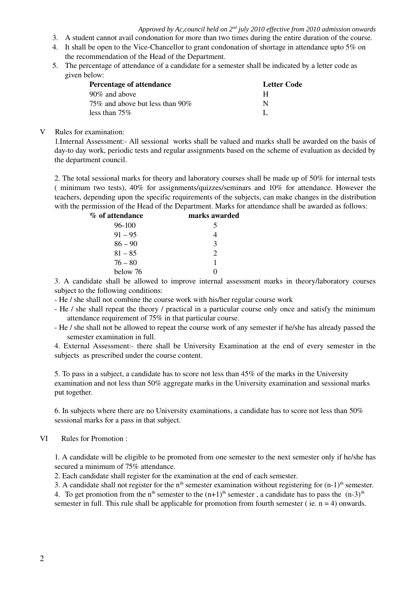- 3. A student cannot avail condonation for more than two times during the entire duration of the course.
- 4. It shall be open to the ViceChancellor to grant condonation of shortage in attendance upto 5% on the recommendation of the Head of the Department.
- 5. The percentage of attendance of a candidate for a semester shall be indicated by a letter code as given below:

| Percentage of attendance          | Letter Code |
|-----------------------------------|-------------|
| 90\% and above                    | н           |
| 75\% and above but less than 90\% | N           |
| less than $75\%$                  |             |

# V Rules for examination:

1.Internal Assessment: All sessional works shall be valued and marks shall be awarded on the basis of dayto day work, periodic tests and regular assignments based on the scheme of evaluation as decided by the department council.

2. The total sessional marks for theory and laboratory courses shall be made up of 50% for internal tests ( minimum two tests), 40% for assignments/quizzes/seminars and 10% for attendance. However the teachers, depending upon the specific requirements of the subjects, can make changes in the distribution with the permission of the Head of the Department. Marks for attendance shall be awarded as follows:

| marks awarded |
|---------------|
|               |
|               |
| $\mathcal{R}$ |
| $\mathcal{D}$ |
|               |
|               |
|               |

3. A candidate shall be allowed to improve internal assessment marks in theory/laboratory courses subject to the following conditions:

- He / she shall not combine the course work with his/her regular course work
- He / she shall repeat the theory / practical in a particular course only once and satisfy the minimum attendance requirement of 75% in that particular course.
- He / she shall not be allowed to repeat the course work of any semester if he/she has already passed the semester examination in full.

4. External Assessment: there shall be University Examination at the end of every semester in the subjects as prescribed under the course content.

5. To pass in a subject, a candidate has to score not less than 45% of the marks in the University examination and not less than 50% aggregate marks in the University examination and sessional marks put together.

6. In subjects where there are no University examinations, a candidate has to score not less than 50% sessional marks for a pass in that subject.

# VI Rules for Promotion :

1. A candidate will be eligible to be promoted from one semester to the next semester only if he/she has secured a minimum of 75% attendance.

2. Each candidate shall register for the examination at the end of each semester.

3. A candidate shall not register for the n<sup>th</sup> semester examination without registering for  $(n-1)$ <sup>th</sup> semester.

4. To get promotion from the n<sup>th</sup> semester to the  $(n+1)$ <sup>th</sup> semester, a candidate has to pass the  $(n-3)$ <sup>th</sup> semester in full. This rule shall be applicable for promotion from fourth semester (ie.  $n = 4$ ) onwards.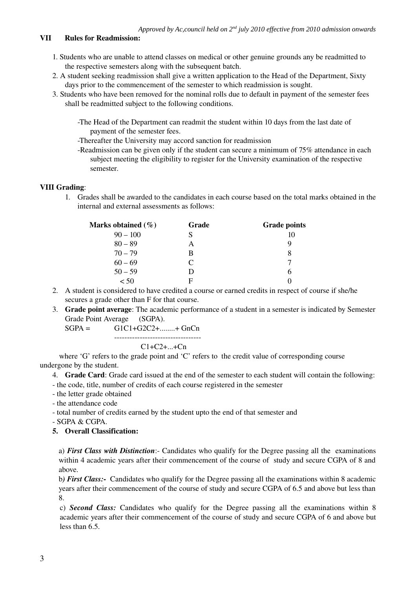# VII Rules for Readmission:

- 1. Students who are unable to attend classes on medical or other genuine grounds any be readmitted to the respective semesters along with the subsequent batch.
- 2. A student seeking readmission shall give a written application to the Head of the Department, Sixty days prior to the commencement of the semester to which readmission is sought.
- 3. Students who have been removed for the nominal rolls due to default in payment of the semester fees shall be readmitted subject to the following conditions.

The Head of the Department can readmit the student within 10 days from the last date of payment of the semester fees.

Thereafter the University may accord sanction for readmission

-Readmission can be given only if the student can secure a minimum of 75% attendance in each subject meeting the eligibility to register for the University examination of the respective semester.

# VIII Grading:

1. Grades shall be awarded to the candidates in each course based on the total marks obtained in the internal and external assessments as follows:

| Marks obtained (%) | Grade | <b>Grade points</b> |
|--------------------|-------|---------------------|
| $90 - 100$         |       |                     |
| $80 - 89$          | А     |                     |
| $70 - 79$          | В     | 8                   |
| $60 - 69$          | C     |                     |
| $50 - 59$          | Ð     | n                   |
| < 50               | E     |                     |

- 2. A student is considered to have credited a course or earned credits in respect of course if she/he secures a grade other than F for that course.
- 3. Grade point average: The academic performance of a student in a semester is indicated by Semester Grade Point Average (SGPA).

 $SGPA =$   $GIC1+G2C2+...+GnCn$ 

# $C1 + C2 + ... + Cn$

 where 'G' refers to the grade point and 'C' refers to the credit value of corresponding course undergone by the student.

- 4. Grade Card: Grade card issued at the end of the semester to each student will contain the following:
- the code, title, number of credits of each course registered in the semester
- the letter grade obtained
- the attendance code
- total number of credits earned by the student upto the end of that semester and

SGPA & CGPA.

5. Overall Classification:

a) *First Class with Distinction*: Candidates who qualify for the Degree passing all the examinations within 4 academic years after their commencement of the course of study and secure CGPA of 8 and above.

b*) First Class:* Candidates who qualify for the Degree passing all the examinations within 8 academic years after their commencement of the course of study and secure CGPA of 6.5 and above but less than 8.

c) *Second Class:* Candidates who qualify for the Degree passing all the examinations within 8 academic years after their commencement of the course of study and secure CGPA of 6 and above but less than 6.5.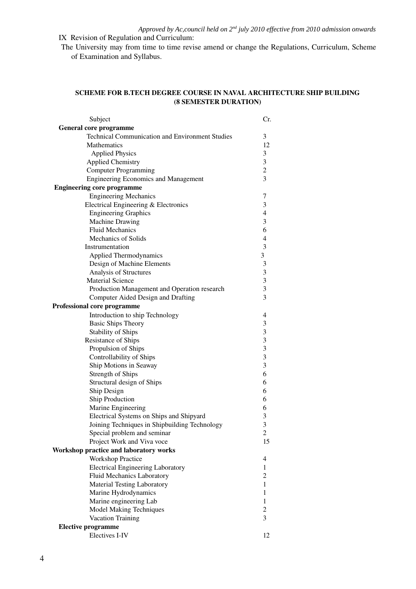IX Revision of Regulation and Curriculum:

The University may from time to time revise amend or change the Regulations, Curriculum, Scheme of Examination and Syllabus.

# SCHEME FOR B.TECH DEGREE COURSE IN NAVAL ARCHITECTURE SHIP BUILDING (8 SEMESTER DURATION)

| Subject                                                | Cr.                      |
|--------------------------------------------------------|--------------------------|
| General core programme                                 |                          |
| <b>Technical Communication and Environment Studies</b> | $\mathfrak{Z}$           |
| Mathematics                                            | 12                       |
| <b>Applied Physics</b>                                 | 3                        |
| <b>Applied Chemistry</b>                               | 3                        |
| <b>Computer Programming</b>                            | $\overline{c}$           |
| <b>Engineering Economics and Management</b>            | 3                        |
| <b>Engineering core programme</b>                      |                          |
| <b>Engineering Mechanics</b>                           | $\tau$                   |
| Electrical Engineering & Electronics                   | 3                        |
| <b>Engineering Graphics</b>                            | $\overline{4}$           |
| Machine Drawing                                        | 3                        |
| <b>Fluid Mechanics</b>                                 | 6                        |
| Mechanics of Solids                                    | $\overline{4}$           |
| Instrumentation                                        | $\mathfrak{Z}$           |
| Applied Thermodynamics                                 | 3                        |
| Design of Machine Elements                             | $\mathfrak{Z}$           |
| Analysis of Structures                                 | 3                        |
| <b>Material Science</b>                                | 3                        |
| Production Management and Operation research           | 3                        |
| Computer Aided Design and Drafting                     | 3                        |
| Professional core programme                            |                          |
| Introduction to ship Technology                        | 4                        |
| <b>Basic Ships Theory</b>                              | 3                        |
| <b>Stability of Ships</b>                              | 3                        |
| Resistance of Ships                                    | 3                        |
| Propulsion of Ships                                    | 3                        |
| Controllability of Ships                               | 3                        |
| Ship Motions in Seaway                                 | 3                        |
| Strength of Ships                                      | 6                        |
| Structural design of Ships                             | 6                        |
| Ship Design                                            | 6                        |
| Ship Production                                        | 6                        |
| Marine Engineering                                     | 6                        |
| Electrical Systems on Ships and Shipyard               | 3                        |
| Joining Techniques in Shipbuilding Technology          | 3                        |
| Special problem and seminar                            | $\overline{c}$           |
| Project Work and Viva voce                             | 15                       |
| Workshop practice and laboratory works                 |                          |
| <b>Workshop Practice</b>                               | $\overline{\mathcal{A}}$ |
| <b>Electrical Engineering Laboratory</b>               | 1                        |
| Fluid Mechanics Laboratory                             | $\mathfrak{2}$           |
| <b>Material Testing Laboratory</b>                     | 1                        |
| Marine Hydrodynamics                                   | 1                        |
| Marine engineering Lab                                 | 1                        |
| <b>Model Making Techniques</b>                         | $\boldsymbol{2}$         |
| Vacation Training                                      | 3                        |
| <b>Elective programme</b>                              |                          |
| Electives I-IV                                         | 12                       |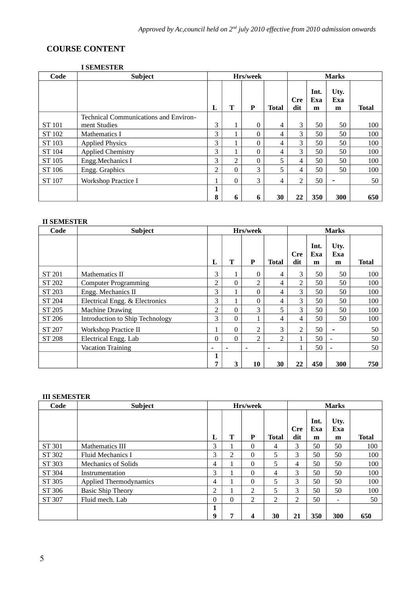# **COURSE CONTENT**

# **I SEMESTER**

| Code   | <b>Subject</b>                        |                |          | Hrs/week     |              | <b>Marks</b>      |                  |                  |              |  |
|--------|---------------------------------------|----------------|----------|--------------|--------------|-------------------|------------------|------------------|--------------|--|
|        |                                       | L              | T        | $\mathbf P$  | <b>Total</b> | <b>Cre</b><br>dit | Int.<br>Exa<br>m | Uty.<br>Exa<br>m | <b>Total</b> |  |
|        | Technical Communications and Environ- |                |          |              |              |                   |                  |                  |              |  |
| ST 101 | ment Studies                          | 3              |          | $\mathbf{0}$ | 4            | 3                 | 50               | 50               | 100          |  |
| ST 102 | <b>Mathematics I</b>                  | 3              |          | $\Omega$     | 4            | 3                 | 50               | 50               | 100          |  |
| ST 103 | <b>Applied Physics</b>                | 3              |          | $\Omega$     | 4            | 3                 | 50               | 50               | 100          |  |
| ST 104 | <b>Applied Chemistry</b>              | 3              |          | $\Omega$     | 4            | 3                 | 50               | 50               | 100          |  |
| ST 105 | Engg.Mechanics I                      | 3              | 2        | $\theta$     | 5            | 4                 | 50               | 50               | 100          |  |
| ST 106 | Engg. Graphics                        | $\overline{2}$ | 0        | 3            | 5.           | 4                 | 50               | 50               | 100          |  |
| ST 107 | <b>Workshop Practice I</b>            | 1              | $\theta$ | 3            | 4            | $\overline{2}$    | 50               |                  | 50           |  |
|        |                                       | 1              |          |              |              |                   |                  |                  |              |  |
|        |                                       | 8              | 6        | 6            | 30           | 22                | 350              | 300              | 650          |  |

# **II SEMESTER**

| Code          | <b>Subject</b>                  |   |              | Hrs/week       |                |                   | <b>Marks</b>     |                          |              |  |
|---------------|---------------------------------|---|--------------|----------------|----------------|-------------------|------------------|--------------------------|--------------|--|
|               |                                 | L | T            | P              | <b>Total</b>   | <b>Cre</b><br>dit | Int.<br>Exa<br>m | Uty.<br>Exa<br>m         | <b>Total</b> |  |
| ST 201        | Mathematics II                  | 3 | $\mathbf{1}$ | 0              | 4              | 3                 | 50               | 50                       | 100          |  |
| ST 202        | <b>Computer Programming</b>     | 2 | $\Omega$     | 2              | 4              | $\overline{2}$    | 50               | 50                       | 100          |  |
| ST 203        | Engg. Mechanics II              | 3 |              | 0              | 4              | 3                 | 50               | 50                       | 100          |  |
| ST 204        | Electrical Engg. & Electronics  | 3 |              | 0              | 4              | 3                 | 50               | 50                       | 100          |  |
| ST 205        | <b>Machine Drawing</b>          | 2 | $\Omega$     | 3              | 5              | 3                 | 50               | 50                       | 100          |  |
| ST 206        | Introduction to Ship Technology | 3 | $\Omega$     | 1              | 4              | 4                 | 50               | 50                       | 100          |  |
| ST 207        | <b>Workshop Practice II</b>     | 1 | $\Omega$     | $\overline{2}$ | 3              | $\overline{2}$    | 50               |                          | 50           |  |
| <b>ST 208</b> | Electrical Engg. Lab            | 0 | $\Omega$     | $\overline{2}$ | $\overline{2}$ |                   | 50               | $\overline{\phantom{a}}$ | 50           |  |
|               | <b>Vacation Training</b>        | ٠ |              |                |                |                   | 50               | $\overline{\phantom{a}}$ | 50           |  |
|               |                                 | 1 |              |                |                |                   |                  |                          |              |  |
|               |                                 | 7 | 3            | 10             | 30             | 22                | 450              | 300                      | 750          |  |

# **III SEMESTER**

| Code          | <b>Subject</b>                |          |                | Hrs/week       |                |                   | <b>Marks</b>     |                  |              |  |
|---------------|-------------------------------|----------|----------------|----------------|----------------|-------------------|------------------|------------------|--------------|--|
|               |                               | L        | Т              | P              | Total          | <b>Cre</b><br>dit | Int.<br>Exa<br>m | Uty.<br>Exa<br>m | <b>Total</b> |  |
| <b>ST 301</b> | Mathematics III               | 3        |                | $\theta$       | 4              | 3                 | 50               | 50               | 100          |  |
| ST 302        | Fluid Mechanics I             | 3        | $\overline{2}$ | $\theta$       | 5              | 3                 | 50               | 50               | 100          |  |
| ST 303        | <b>Mechanics of Solids</b>    | 4        |                | 0              | 5              | 4                 | 50               | 50               | 100          |  |
| ST 304        | Instrumentation               | 3        |                | $\theta$       | 4              | З.                | 50               | 50               | 100          |  |
| ST 305        | <b>Applied Thermodynamics</b> | 4        |                | $\theta$       | 5              | 3                 | 50               | 50               | 100          |  |
| ST 306        | <b>Basic Ship Theory</b>      | 2        |                | $\overline{2}$ | 5              | 3                 | 50               | 50               | 100          |  |
| ST 307        | Fluid mech. Lab               | $\Omega$ | $\Omega$       | $\overline{2}$ | $\overline{2}$ | $\overline{2}$    | 50               | -                | 50           |  |
|               |                               | 1        |                |                |                |                   |                  |                  |              |  |
|               |                               | 9        | 7              | 4              | 30             | 21                | 350              | 300              | 650          |  |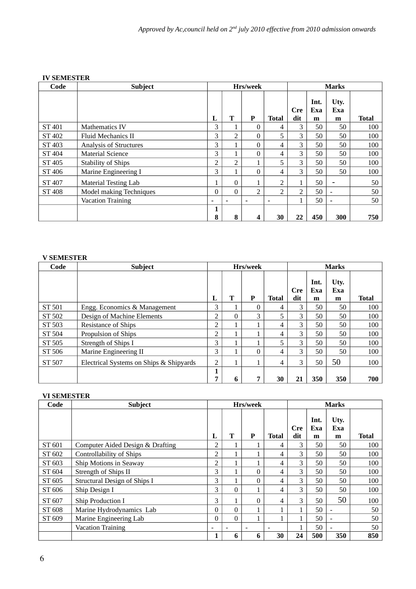# **IV SEMESTER**

| Code          | <b>Subject</b>              |          |          | Hrs/week       |                          |                |                  | <b>Marks</b>     |              |
|---------------|-----------------------------|----------|----------|----------------|--------------------------|----------------|------------------|------------------|--------------|
|               |                             | L        | T        | P              | <b>Total</b>             | Cre<br>dit     | Int.<br>Exa<br>m | Uty.<br>Exa<br>m | <b>Total</b> |
| ST 401        | <b>Mathematics IV</b>       | 3        |          | $\Omega$       | 4                        | 3              | 50               | 50               | 100          |
| ST 402        | Fluid Mechanics II          | 3        | 2        | $\Omega$       | 5                        | 3              | 50               | 50               | 100          |
| ST 403        | Analysis of Structures      | 3        |          | $\Omega$       | 4                        | 3              | 50               | 50               | 100          |
| ST 404        | <b>Material Science</b>     | 3        |          | $\Omega$       | 4                        | 3              | 50               | 50               | 100          |
| ST 405        | <b>Stability of Ships</b>   | 2        | 2        |                | 5                        | 3              | 50               | 50               | 100          |
| ST 406        | Marine Engineering I        | 3        |          | $\Omega$       | 4                        | 3              | 50               | 50               | 100          |
| <b>ST 407</b> | <b>Material Testing Lab</b> | 1        | $\Omega$ |                | 2                        |                | 50               |                  | 50           |
| ST 408        | Model making Techniques     | $\Omega$ | $\Omega$ | $\overline{2}$ | $\mathcal{P}$            | $\overline{2}$ | 50               |                  | 50           |
|               | <b>Vacation Training</b>    | -        |          | ۰              | $\overline{\phantom{a}}$ | 1              | 50               |                  | 50           |
|               |                             | 1        |          |                |                          |                |                  |                  |              |
|               |                             | 8        | 8        | 4              | 30                       | 22             | 450              | 300              | 750          |

# **V SEMESTER**

| Code   | Subject                                 |                |          | Hrs/week |              |                   | <b>Marks</b>     |                  |              |  |  |
|--------|-----------------------------------------|----------------|----------|----------|--------------|-------------------|------------------|------------------|--------------|--|--|
|        |                                         | L              | T        | P        | <b>Total</b> | <b>Cre</b><br>dit | Int.<br>Exa<br>m | Uty.<br>Exa<br>m | <b>Total</b> |  |  |
| ST 501 | Engg. Economics & Management            | 3              |          | 0        | 4            | 3                 | 50               | 50               | 100          |  |  |
| ST 502 | Design of Machine Elements              | 2              | $\Omega$ | 3        | 5            | 3                 | 50               | 50               | 100          |  |  |
| ST 503 | <b>Resistance of Ships</b>              | 2              |          |          | 4            | 3                 | 50               | 50               | 100          |  |  |
| ST 504 | Propulsion of Ships                     | $\overline{2}$ |          |          | 4            | 3                 | 50               | 50               | 100          |  |  |
| ST 505 | Strength of Ships I                     | 3              |          |          | 5            | 3                 | 50               | 50               | 100          |  |  |
| ST 506 | Marine Engineering II                   | 3              |          | 0        | 4            | 3                 | 50               | 50               | 100          |  |  |
| ST 507 | Electrical Systems on Ships & Shipyards | 2              |          |          | 4            | 3                 | 50               | 50               | 100          |  |  |
|        |                                         | 1<br>7         | 6        | 7        | 30           | 21                | 350              | 350              | 700          |  |  |

# **VI SEMESTER**

| Code   | <b>Subject</b>                      |                          | Hrs/week<br><b>Marks</b> |          |              |            |                  |                          |       |
|--------|-------------------------------------|--------------------------|--------------------------|----------|--------------|------------|------------------|--------------------------|-------|
|        |                                     | L                        | T                        | P        | <b>Total</b> | Cre<br>dit | Int.<br>Exa<br>m | Uty.<br>Exa<br>m         | Total |
| ST 601 | Computer Aided Design & Drafting    | 2                        |                          |          | 4            | 3          | 50               | 50                       | 100   |
| ST 602 | Controllability of Ships            | 2                        |                          |          | 4            | 3          | 50               | 50                       | 100   |
| ST 603 | Ship Motions in Seaway              | 2                        |                          |          | 4            | 3          | 50               | 50                       | 100   |
| ST 604 | Strength of Ships II                | 3                        |                          | 0        | 4            | 3          | 50               | 50                       | 100   |
| ST 605 | <b>Structural Design of Ships I</b> | 3                        |                          | $\theta$ | 4            | 3          | 50               | 50                       | 100   |
| ST 606 | Ship Design I                       | 3                        | $\Omega$                 | 1        | 4            | 3          | 50               | 50                       | 100   |
| ST 607 | Ship Production I                   | 3                        |                          | $\theta$ | 4            | 3          | 50               | 50                       | 100   |
| ST 608 | Marine Hydrodynamics Lab            | 0                        | $\Omega$                 |          |              |            | 50               | ٠                        | 50    |
| ST 609 | Marine Engineering Lab              | 0                        | $\Omega$                 |          |              |            | 50               | $\overline{\phantom{a}}$ | 50    |
|        | <b>Vacation Training</b>            | $\overline{\phantom{0}}$ |                          |          |              |            | 50               |                          | 50    |
|        |                                     |                          | 6                        | 6        | 30           | 24         | 500              | 350                      | 850   |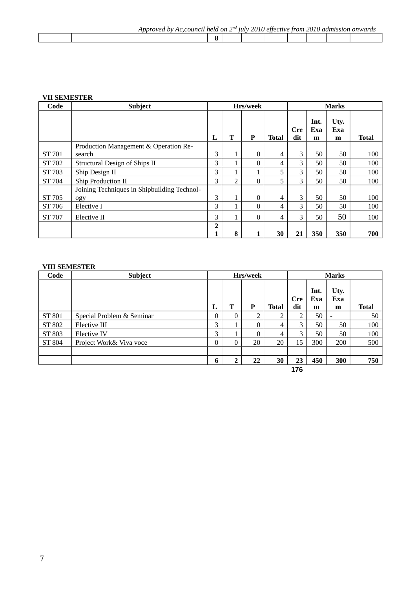| rnv<br>$\sim$<br>hv<br>. וני<br>$\overline{H}$ | held on | $\Gamma$ | 111 I V | ാറ | etter<br>$\tau$ tive. | trom | ากา<br>, aar | 810 H | ° onwara. |
|------------------------------------------------|---------|----------|---------|----|-----------------------|------|--------------|-------|-----------|
|                                                |         |          |         |    |                       |      |              |       |           |

# **VII SEMESTER**

| Code          | <b>Subject</b>                              | <b>Marks</b><br>Hrs/week |                   |          |              |                   |                  |                  |       |
|---------------|---------------------------------------------|--------------------------|-------------------|----------|--------------|-------------------|------------------|------------------|-------|
|               |                                             | L                        | T                 | P        | <b>Total</b> | <b>Cre</b><br>dit | Int.<br>Exa<br>m | Uty.<br>Exa<br>m | Total |
|               | Production Management & Operation Re-       |                          |                   |          |              |                   |                  |                  |       |
| ST 701        | search                                      | 3                        | T.                | $\Omega$ | 4            | 3                 | 50               | 50               | 100   |
| ST 702        | Structural Design of Ships II               | 3                        | 1                 | $\theta$ | 4            | 3                 | 50               | 50               | 100   |
| ST 703        | Ship Design II                              | 3                        |                   |          | 5            | 3                 | 50               | 50               | 100   |
| ST 704        | Ship Production II                          | 3                        | 2                 | $\theta$ | 5            | 3                 | 50               | 50               | 100   |
|               | Joining Techniques in Shipbuilding Technol- |                          |                   |          |              |                   |                  |                  |       |
| ST 705        | ogy                                         | 3                        | $\mathbf{1}$      | $\Omega$ | 4            | 3                 | 50               | 50               | 100   |
| ST 706        | Elective I                                  | 3                        |                   | 0        | 4            | 3                 | 50               | 50               | 100   |
| <b>ST 707</b> | Elective II                                 | 3                        | 1<br>$\mathbf{I}$ | 0        | 4            | 3                 | 50               | 50               | 100   |
|               |                                             | $\overline{2}$           |                   |          |              |                   |                  |                  |       |
|               |                                             | 1                        | 8                 |          | 30           | 21                | 350              | 350              | 700   |

# **VIII SEMESTER**

| Code   | <b>Subject</b>            | Hrs/week |          |          |              | <b>Marks</b>      |                  |                  |              |
|--------|---------------------------|----------|----------|----------|--------------|-------------------|------------------|------------------|--------------|
|        |                           | L        | т        | P        | <b>Total</b> | <b>Cre</b><br>dit | Int.<br>Exa<br>m | Uty.<br>Exa<br>m | <b>Total</b> |
| ST 801 | Special Problem & Seminar | 0        | $\Omega$ |          |              | ר                 | 50               | $\blacksquare$   | 50           |
| ST 802 | Elective III              | 3        |          | 0        | 4            | 3                 | 50               | 50               | 100          |
| ST 803 | Elective IV               | 3        |          | $\Omega$ | 4            | 3                 | 50               | 50               | 100          |
| ST 804 | Project Work& Viva voce   | 0        | $\Omega$ | 20       | 20           | 15                | 300              | 200              | 500          |
|        |                           |          |          |          |              |                   |                  |                  |              |
|        |                           | 6        | ּ        | 22       | 30           | 23                | 450              | 300              | 750          |
|        |                           |          |          |          |              | 176               |                  |                  |              |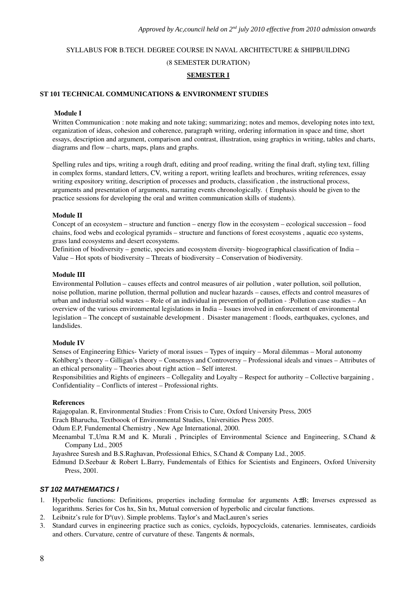# SYLLABUS FOR B.TECH. DEGREE COURSE IN NAVAL ARCHITECTURE & SHIPBUILDING (8 SEMESTER DURATION) **SEMESTER I**

# **ST 101 TECHNICAL COMMUNICATIONS & ENVIRONMENT STUDIES**

#### Module I

Written Communication : note making and note taking; summarizing; notes and memos, developing notes into text, organization of ideas, cohesion and coherence, paragraph writing, ordering information in space and time, short essays, description and argument, comparison and contrast, illustration, using graphics in writing, tables and charts, diagrams and flow – charts, maps, plans and graphs.

Spelling rules and tips, writing a rough draft, editing and proof reading, writing the final draft, styling text, filling in complex forms, standard letters, CV, writing a report, writing leaflets and brochures, writing references, essay writing expository writing, description of processes and products, classification , the instructional process, arguments and presentation of arguments, narrating events chronologically. ( Emphasis should be given to the practice sessions for developing the oral and written communication skills of students).

#### Module II

Concept of an ecosystem – structure and function – energy flow in the ecosystem – ecological succession – food chains, food webs and ecological pyramids – structure and functions of forest ecosystems , aquatic eco systems, grass land ecosystems and desert ecosystems.

Definition of biodiversity – genetic, species and ecosystem diversity biogeographical classification of India – Value – Hot spots of biodiversity – Threats of biodiversity – Conservation of biodiversity.

#### Module III

Environmental Pollution – causes effects and control measures of air pollution , water pollution, soil pollution, noise pollution, marine pollution, thermal pollution and nuclear hazards – causes, effects and control measures of urban and industrial solid wastes – Role of an individual in prevention of pollution :Pollution case studies – An overview of the various environmental legislations in India – Issues involved in enforcement of environmental legislation – The concept of sustainable development . Disaster management : floods, earthquakes, cyclones, and landslides.

#### Module IV

Senses of Engineering Ethics-Variety of moral issues – Types of inquiry – Moral dilemmas – Moral autonomy Kohlberg's theory – Gilligan's theory – Consensys and Controversy – Professional ideals and vinues – Attributes of an ethical personality – Theories about right action – Self interest.

Responsibilities and Rights of engineers – Collegality and Loyalty – Respect for authority – Collective bargaining , Confidentiality – Conflicts of interest – Professional rights.

#### References

Rajagopalan. R, Environmental Studies : From Crisis to Cure, Oxford University Press, 2005 Erach Bharucha, Textboook of Environmental Studies, Universities Press 2005.

Odum E.P, Fundemental Chemistry , New Age International, 2000.

Meenambal T.,Uma R.M and K. Murali , Principles of Environmental Science and Engineering, S.Chand & Company Ltd., 2005

Jayashree Suresh and B.S.Raghavan, Professional Ethics, S.Chand & Company Ltd., 2005.

Edmund D.Seebaur & Robert L.Barry, Fundementals of Ethics for Scientists and Engineers, Oxford University Press, 2001.

#### *ST 102 MATHEMATICS I*

- 1. Hyperbolic functions: Definitions, properties including formulae for arguments  $A \pm B$ ; Inverses expressed as logarithms. Series for Cos hx, Sin hx, Mutual conversion of hyperbolic and circular functions.
- 2. Leibnitz's rule for  $D^n(uv)$ . Simple problems. Taylor's and MacLauren's series
- 3. Standard curves in engineering practice such as conics, cycloids, hypocycloids, catenaries. lemniseates, cardioids and others. Curvature, centre of curvature of these. Tangents & normals,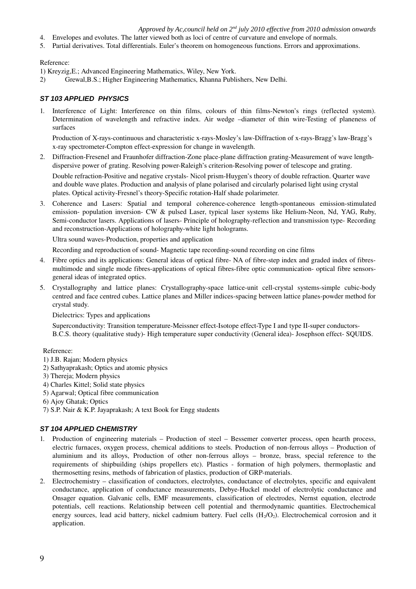- 4. Envelopes and evolutes. The latter viewed both as loci of centre of curvature and envelope of normals.
- 5. Partial derivatives. Total differentials. Euler's theorem on homogeneous functions. Errors and approximations.

# Reference:

- 1) Kreyzig,E.; Advanced Engineering Mathematics, Wiley, New York.
- 2) Grewal,B.S.; Higher Engineering Mathematics, Khanna Publishers, New Delhi.

# *ST 103 APPLIED PHYSICS*

1. Interference of Light: Interference on thin films, colours of thin films-Newton's rings (reflected system). Determination of wavelength and refractive index. Air wedge –diameter of thin wire-Testing of planeness of surfaces

Production of X-rays-continuous and characteristic x-rays-Mosley's law-Diffraction of x-rays-Bragg's law-Bragg's x-ray spectrometer-Compton effect-expression for change in wavelength.

2. Diffraction-Fresenel and Fraunhofer diffraction-Zone place-plane diffraction grating-Measurement of wave lengthdispersive power of grating. Resolving power-Raleigh's criterion-Resolving power of telescope and grating.

Double refraction-Positive and negative crystals- Nicol prism-Huygen's theory of double refraction. Quarter wave and double wave plates. Production and analysis of plane polarised and circularly polarised light using crystal plates. Optical activity-Fresnel's theory-Specific rotation-Half shade polarimeter.

3. Coherence and Lasers: Spatial and temporal coherence-coherence length-spontaneous emission-stimulated emission- population inversion- CW & pulsed Laser, typical laser systems like Helium-Neon, Nd, YAG, Ruby, Semi-conductor lasers. Applications of lasers- Principle of holography-reflection and transmission type-Recording and reconstruction-Applications of holography-white light holograms.

Ultra sound waves-Production, properties and application

Recording and reproduction of sound-Magnetic tape recording-sound recording on cine films

- 4. Fibre optics and its applications: General ideas of optical fibre NA of fibrestep index and graded index of fibresmultimode and single mode fibres-applications of optical fibres-fibre optic communication- optical fibre sensorsgeneral ideas of integrated optics.
- 5. Crystallography and lattice planes: Crystallography-space lattice-unit cell-crystal systems-simple cubic-body centred and face centred cubes. Lattice planes and Miller indices-spacing between lattice planes-powder method for crystal study.

Dielectrics: Types and applications

Superconductivity: Transition temperature-Meissner effect-Isotope effect-Type I and type II-super conductors-B.C.S. theory (qualitative study) High temperature super conductivity (General idea) Josephson effect SOUIDS.

#### Reference:

- 1) J.B. Rajan; Modern physics
- 2) Sathyaprakash; Optics and atomic physics
- 3) Thereja; Modern physics
- 4) Charles Kittel; Solid state physics
- 5) Agarwal; Optical fibre communication
- 6) Ajoy Ghatak; Optics

7) S.P. Nair & K.P. Jayaprakash; A text Book for Engg students

#### *ST 104 APPLIED CHEMISTRY*

- 1. Production of engineering materials Production of steel Bessemer converter process, open hearth process, electric furnaces, oxygen process, chemical additions to steels. Production of non-ferrous alloys – Production of aluminium and its alloys, Production of other non-ferrous alloys – bronze, brass, special reference to the requirements of shipbuilding (ships propellers etc). Plastics formation of high polymers, thermoplastic and thermosetting resins, methods of fabrication of plastics, production of GRPmaterials.
- 2. Electrochemistry classification of conductors, electrolytes, conductance of electrolytes, specific and equivalent conductance, application of conductance measurements, DebyeHuckel model of electrolytic conductance and Onsager equation. Galvanic cells, EMF measurements, classification of electrodes, Nernst equation, electrode potentials, cell reactions. Relationship between cell potential and thermodynamic quantities. Electrochemical energy sources, lead acid battery, nickel cadmium battery. Fuel cells  $(H<sub>2</sub>/O<sub>2</sub>)$ . Electrochemical corrosion and it application.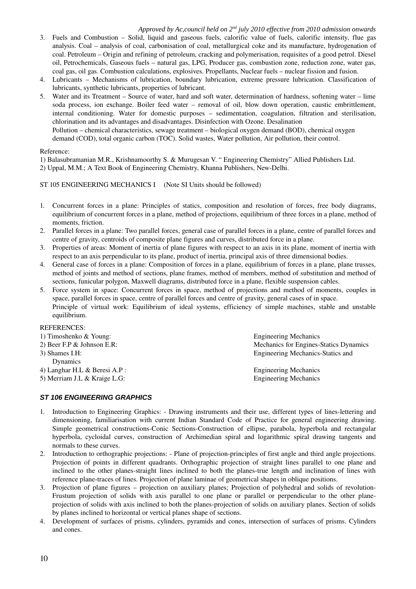- 3. Fuels and Combustion Solid, liquid and gaseous fuels, calorific value of fuels, calorific intensity, flue gas analysis. Coal – analysis of coal, carbonisation of coal, metallurgical coke and its manufacture, hydrogenation of coal. Petroleum – Origin and refining of petroleum, cracking and polymerisation, requisites of a good petrol. Diesel oil, Petrochemicals, Gaseous fuels – natural gas, LPG, Producer gas, combustion zone, reduction zone, water gas, coal gas, oil gas. Combustion calculations, explosives. Propellants, Nuclear fuels – nuclear fission and fusion.
- 4. Lubricants Mechanisms of lubrication, boundary lubrication, extreme pressure lubrication. Classification of lubricants, synthetic lubricants, properties of lubricant.
- 5. Water and its Treatment Source of water, hard and soft water, determination of hardness, softening water lime soda process, ion exchange. Boiler feed water – removal of oil, blow down operation, caustic embrittlement, internal conditioning. Water for domestic purposes – sedimentation, coagulation, filtration and sterilisation, chlorination and its advantages and disadvantages. Disinfection with Ozone. Desalination

Pollution – chemical characteristics, sewage treatment – biological oxygen demand (BOD), chemical oxygen demand (COD), total organic carbon (TOC). Solid wastes, Water pollution, Air pollution, their control.

#### Reference:

1) Balasubramanian M.R., Krishnamoorthy S. & Murugesan V. " Engineering Chemistry" Allied Publishers Ltd.

2) Uppal, M.M.; A Text Book of Engineering Chemistry, Khanna Publishers, New-Delhi.

#### ST 105 ENGINEERING MECHANICS I (Note SI Units should be followed)

- 1. Concurrent forces in a plane: Principles of statics, composition and resolution of forces, free body diagrams, equilibrium of concurrent forces in a plane, method of projections, equilibrium of three forces in a plane, method of moments, friction.
- 2. Parallel forces in a plane: Two parallel forces, general case of parallel forces in a plane, centre of parallel forces and centre of gravity, centroids of composite plane figures and curves, distributed force in a plane.
- 3. Properties of areas: Moment of inertia of plane figures with respect to an axis in its plane, moment of inertia with respect to an axis perpendicular to its plane, product of inertia, principal axis of three dimensional bodies.
- 4. General case of forces in a plane: Composition of forces in a plane, equilibrium of forces in a plane, plane trusses, method of joints and method of sections, plane frames, method of members, method of substitution and method of sections, funicular polygon, Maxwell diagrams, distributed force in a plane, flexible suspension cables.
- 5. Force system in space: Concurrent forces in space, method of projections and method of moments, couples in space, parallel forces in space, centre of parallel forces and centre of gravity, general cases of in space. Principle of virtual work: Equilibrium of ideal systems, efficiency of simple machines, stable and unstable equilibrium.

### REFERENCES:

| 1) Timoshenko & Young:        | <b>Engineering Mechanics</b>           |  |  |  |  |  |
|-------------------------------|----------------------------------------|--|--|--|--|--|
| 2) Beer F.P $\&$ Johnson E.R: | Mechanics for Engines-Statics Dynamics |  |  |  |  |  |
| $3)$ Shames I.H:              | Engineering Mechanics-Statics and      |  |  |  |  |  |
| Dynamics                      |                                        |  |  |  |  |  |
| 4) Langhar H.L & Beresi A.P : | <b>Engineering Mechanics</b>           |  |  |  |  |  |
| 5) Merriam J.L & Kraige L.G:  | <b>Engineering Mechanics</b>           |  |  |  |  |  |
|                               |                                        |  |  |  |  |  |

#### *ST 106 ENGINEERING GRAPHICS*

- 1. Introduction to Engineering Graphics: Drawing instruments and their use, different types of lineslettering and dimensioning, familiarisation with current Indian Standard Code of Practice for general engineering drawing. Simple geometrical constructions-Conic Sections-Construction of ellipse, parabola, hyperbola and rectangular hyperbola, cycloidal curves, construction of Archimedian spiral and logarithmic spiral drawing tangents and normals to these curves.
- 2. Introduction to orthographic projections: Plane of projection-principles of first angle and third angle projections. Projection of points in different quadrants. Orthographic projection of straight lines parallel to one plane and inclined to the other planes-straight lines inclined to both the planes-true length and inclination of lines with reference plane-traces of lines. Projection of plane laminae of geometrical shapes in oblique positions.
- 3. Projection of plane figures projection on auxiliary planes; Projection of polyhedral and solids of revolution-Frustum projection of solids with axis parallel to one plane or parallel or perpendicular to the other planeprojection of solids with axis inclined to both the planes-projection of solids on auxiliary planes. Section of solids by planes inclined to horizontal or vertical planes shape of sections.
- 4. Development of surfaces of prisms, cylinders, pyramids and cones, intersection of surfaces of prisms. Cylinders and cones.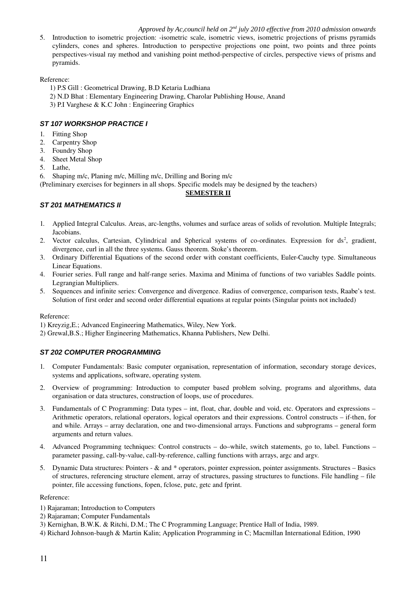5. Introduction to isometric projection: isometric scale, isometric views, isometric projections of prisms pyramids cylinders, cones and spheres. Introduction to perspective projections one point, two points and three points perspectives-visual ray method and vanishing point method-perspective of circles, perspective views of prisms and pyramids.

# Reference:

- 1) P.S Gill : Geometrical Drawing, B.D Ketaria Ludhiana
- 2) N.D Bhat : Elementary Engineering Drawing, Charolar Publishing House, Anand
- 3) P.I Varghese & K.C John : Engineering Graphics

# *ST 107 WORKSHOP PRACTICE I*

- 1. Fitting Shop
- 2. Carpentry Shop
- 3. Foundry Shop
- 4. Sheet Metal Shop
- 5. Lathe,
- 6. Shaping m/c, Planing m/c, Milling m/c, Drilling and Boring m/c

(Preliminary exercises for beginners in all shops. Specific models may be designed by the teachers)

# **SEMESTER II**

# *ST 201 MATHEMATICS II*

- 1. Applied Integral Calculus. Areas, arc-lengths, volumes and surface areas of solids of revolution. Multiple Integrals; Jacobians.
- 2. Vector calculus, Cartesian, Cylindrical and Spherical systems of co-ordinates. Expression for  $ds^2$ , gradient, divergence, curl in all the three systems. Gauss theorem. Stoke's theorem.
- 3. Ordinary Differential Equations of the second order with constant coefficients, Euler-Cauchy type. Simultaneous Linear Equations.
- 4. Fourier series. Full range and half-range series. Maxima and Minima of functions of two variables Saddle points. Legrangian Multipliers.
- 5. Sequences and infinite series: Convergence and divergence. Radius of convergence, comparison tests, Raabe's test. Solution of first order and second order differential equations at regular points (Singular points not included)

#### Reference:

- 1) Kreyzig,E.; Advanced Engineering Mathematics, Wiley, New York.
- 2) Grewal,B.S.; Higher Engineering Mathematics, Khanna Publishers, New Delhi.

# *ST 202 COMPUTER PROGRAMMING*

- 1. Computer Fundamentals: Basic computer organisation, representation of information, secondary storage devices, systems and applications, software, operating system.
- 2. Overview of programming: Introduction to computer based problem solving, programs and algorithms, data organisation or data structures, construction of loops, use of procedures.
- 3. Fundamentals of C Programming: Data types int, float, char, double and void, etc. Operators and expressions Arithmetic operators, relational operators, logical operators and their expressions. Control constructs – if-then, for and while. Arrays – array declaration, one and two-dimensional arrays. Functions and subprograms – general form arguments and return values.
- 4. Advanced Programming techniques: Control constructs do–while, switch statements, go to, label. Functions parameter passing, call-by-value, call-by-reference, calling functions with arrays, argc and argv.
- 5. Dynamic Data structures: Pointers & and \* operators, pointer expression, pointer assignments. Structures Basics of structures, referencing structure element, array of structures, passing structures to functions. File handling – file pointer, file accessing functions, fopen, fclose, putc, getc and fprint.

#### Reference:

- 1) Rajaraman; Introduction to Computers
- 2) Rajaraman; Computer Fundamentals
- 3) Kernighan, B.W.K. & Ritchi, D.M.; The C Programming Language; Prentice Hall of India, 1989.
- 4) Richard Johnson-baugh & Martin Kalin; Application Programming in C; Macmillan International Edition, 1990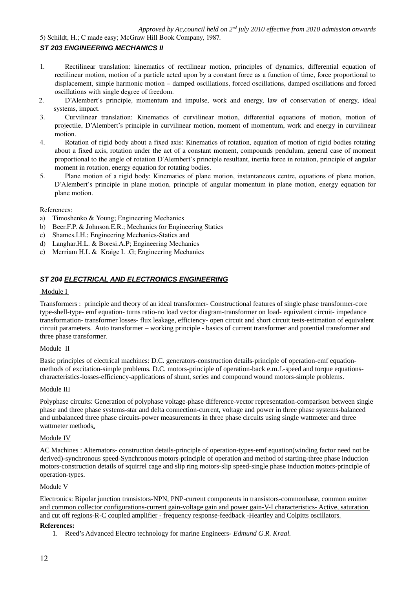5) Schildt, H.; C made easy; McGraw Hill Book Company, 1987.

# *ST 203 ENGINEERING MECHANICS II*

- 1. Rectilinear translation: kinematics of rectilinear motion, principles of dynamics, differential equation of rectilinear motion, motion of a particle acted upon by a constant force as a function of time, force proportional to displacement, simple harmonic motion – damped oscillations, forced oscillations, damped oscillations and forced oscillations with single degree of freedom.
- 2. D'Alembert's principle, momentum and impulse, work and energy, law of conservation of energy, ideal systems, impact.
- 3. Curvilinear translation: Kinematics of curvilinear motion, differential equations of motion, motion of projectile, D'Alembert's principle in curvilinear motion, moment of momentum, work and energy in curvilinear motion.
- 4. Rotation of rigid body about a fixed axis: Kinematics of rotation, equation of motion of rigid bodies rotating about a fixed axis, rotation under the act of a constant moment, compounds pendulum, general case of moment proportional to the angle of rotation D'Alembert's principle resultant, inertia force in rotation, principle of angular moment in rotation, energy equation for rotating bodies.
- 5. Plane motion of a rigid body: Kinematics of plane motion, instantaneous centre, equations of plane motion, D'Alembert's principle in plane motion, principle of angular momentum in plane motion, energy equation for plane motion.

#### References:

- a) Timoshenko & Young; Engineering Mechanics
- b) Beer.F.P. & Johnson.E.R.; Mechanics for Engineering Statics
- c) Shames.I.H.; Engineering Mechanics-Statics and
- d) Langhar.H.L. & Boresi.A.P; Engineering Mechanics
- e) Merriam H.L & Kraige L .G; Engineering Mechanics

# *ST 204 ELECTRICAL AND ELECTRONICS ENGINEERING*

#### Module I

Transformers : principle and theory of an ideal transformer- Constructional features of single phase transformer-core type-shell-type- emf equation- turns ratio-no load vector diagram-transformer on load- equivalent circuit- impedance transformation- transformer losses- flux leakage, efficiency- open circuit and short circuit tests-estimation of equivalent circuit parameters. Auto transformer – working principle - basics of current transformer and potential transformer and three phase transformer.

#### Module II

Basic principles of electrical machines: D.C. generators-construction details-principle of operation-emf equationmethods of excitation-simple problems. D.C. motors-principle of operation-back e.m.f.-speed and torque equationscharacteristics-losses-efficiency-applications of shunt, series and compound wound motors-simple problems.

#### Module III

Polyphase circuits: Generation of polyphase voltage-phase difference-vector representation-comparison between single phase and three phase systems-star and delta connection-current, voltage and power in three phase systems-balanced and unbalanced three phase circuits-power measurements in three phase circuits using single wattmeter and three wattmeter methods.

#### Module IV

AC Machines : Alternators- construction details-principle of operation-types-emf equation(winding factor need not be derived)-synchronous speed-Synchronous motors-principle of operation and method of starting-three phase induction motors-construction details of squirrel cage and slip ring motors-slip speed-single phase induction motors-principle of operation-types.

#### Module V

Electronics: Bipolar junction transistors-NPN, PNP-current components in transistors-commonbase, common emitter and common collector configurations-current gain-voltage gain and power gain-V-I characteristics- Active, saturation and cut off regions-R-C coupled amplifier - frequency response-feedback -Heartley and Colpitts oscillators.

#### **References:**

1. Reed's Advanced Electro technology for marine Engineers- *Edmund G.R. Kraal.*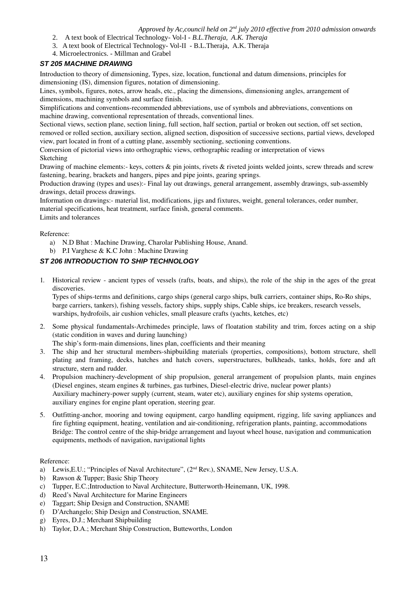- 2. A text book of Electrical Technology- Vol-I *B.L.Theraja, A.K. Theraja*
- 3. A text book of Electrical Technology- Vol-II B.L.Theraja, A.K. Theraja
- 4. Microelectronics. Millman and Grabel

# *ST 205 MACHINE DRAWING*

Introduction to theory of dimensioning, Types, size, location, functional and datum dimensions, principles for dimensioning (IS), dimension figures, notation of dimensioning.

Lines, symbols, figures, notes, arrow heads, etc., placing the dimensions, dimensioning angles, arrangement of dimensions, machining symbols and surface finish.

Simplifications and conventions-recommended abbreviations, use of symbols and abbreviations, conventions on machine drawing, conventional representation of threads, conventional lines.

Sectional views, section plane, section lining, full section, half section, partial or broken out section, off set section, removed or rolled section, auxiliary section, aligned section, disposition of successive sections, partial views, developed view, part located in front of a cutting plane, assembly sectioning, sectioning conventions.

Conversion of pictorial views into orthographic views, orthographic reading or interpretation of views Sketching

Drawing of machine elements: keys, cotters  $\&$  pin joints, rivets  $\&$  riveted joints welded joints, screw threads and screw fastening, bearing, brackets and hangers, pipes and pipe joints, gearing springs.

Production drawing (types and uses):- Final lay out drawings, general arrangement, assembly drawings, sub-assembly drawings, detail process drawings.

Information on drawings: material list, modifications, jigs and fixtures, weight, general tolerances, order number, material specifications, heat treatment, surface finish, general comments.

Limits and tolerances

Reference:

- a) N.D Bhat : Machine Drawing, Charolar Publishing House, Anand.
- b) P.I Varghese & K.C John : Machine Drawing

# *ST 206 INTRODUCTION TO SHIP TECHNOLOGY*

1. Historical review ancient types of vessels (rafts, boats, and ships), the role of the ship in the ages of the great discoveries.

Types of ships-terms and definitions, cargo ships (general cargo ships, bulk carriers, container ships, Ro-Ro ships, barge carriers, tankers), fishing vessels, factory ships, supply ships, Cable ships, ice breakers, research vessels, warships, hydrofoils, air cushion vehicles, small pleasure crafts (yachts, ketches, etc)

2. Some physical fundamentals-Archimedes principle, laws of floatation stability and trim, forces acting on a ship (static condition in waves and during launching)

The ship's form-main dimensions, lines plan, coefficients and their meaning

- 3. The ship and her structural membersshipbuilding materials (properties, compositions), bottom structure, shell plating and framing, decks, hatches and hatch covers, superstructures, bulkheads, tanks, holds, fore and aft structure, stern and rudder.
- 4. Propulsion machinerydevelopment of ship propulsion, general arrangement of propulsion plants, main engines (Diesel engines, steam engines & turbines, gas turbines, Diesel-electric drive, nuclear power plants) Auxiliary machinery-power supply (current, steam, water etc), auxiliary engines for ship systems operation, auxiliary engines for engine plant operation, steering gear.
- 5. Outfitting-anchor, mooring and towing equipment, cargo handling equipment, rigging, life saving appliances and fire fighting equipment, heating, ventilation and air-conditioning, refrigeration plants, painting, accommodations Bridge: The control centre of the ship-bridge arrangement and layout wheel house, navigation and communication equipments, methods of navigation, navigational lights

Reference:

- a) Lewis, E.U.; "Principles of Naval Architecture", (2<sup>nd</sup> Rev.), SNAME, New Jersey, U.S.A.
- b) Rawson & Tupper; Basic Ship Theory
- c) Tupper, E.C.;Introduction to Naval Architecture, Butterworth-Heinemann, UK, 1998.
- d) Reed's Naval Architecture for Marine Engineers
- e) Taggart; Ship Design and Construction, SNAME
- f) D'Archangelo; Ship Design and Construction, SNAME.
- g) Eyres, D.J.; Merchant Shipbuilding
- h) Taylor, D.A.; Merchant Ship Construction, Butteworths, London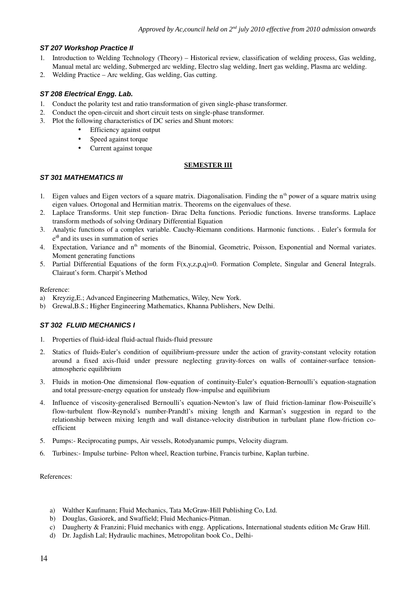# *ST 207 Workshop Practice II*

- 1. Introduction to Welding Technology (Theory) Historical review, classification of welding process, Gas welding, Manual metal arc welding, Submerged arc welding, Electro slag welding, Inert gas welding, Plasma arc welding.
- 2. Welding Practice Arc welding, Gas welding, Gas cutting.

# *ST 208 Electrical Engg. Lab.*

- 1. Conduct the polarity test and ratio transformation of given single-phase transformer.
- 2. Conduct the open-circuit and short circuit tests on single-phase transformer.
- 3. Plot the following characteristics of DC series and Shunt motors:
	- Efficiency against output
		- Speed against torque
		- Current against torque

### **SEMESTER III**

# *ST 301 MATHEMATICS III*

- 1. Eigen values and Eigen vectors of a square matrix. Diagonalisation. Finding the  $n<sup>th</sup>$  power of a square matrix using eigen values. Ortogonal and Hermitian matrix. Theorems on the eigenvalues of these.
- 2. Laplace Transforms. Unit step function- Dirac Delta functions. Periodic functions. Inverse transforms. Laplace transform methods of solving Ordinary Differential Equation
- 3. Analytic functions of a complex variable. Cauchy-Riemann conditions. Harmonic functions. . Euler's formula for e iθ and its uses in summation of series
- 4. Expectation, Variance and n<sup>th</sup> moments of the Binomial, Geometric, Poisson, Exponential and Normal variates. Moment generating functions
- 5. Partial Differential Equations of the form  $F(x,y,z,p,q)=0$ . Formation Complete, Singular and General Integrals. Clairaut's form. Charpit's Method

Reference:

- a) Kreyzig,E.; Advanced Engineering Mathematics, Wiley, New York.
- b) Grewal,B.S.; Higher Engineering Mathematics, Khanna Publishers, New Delhi.

# *ST 302 FLUID MECHANICS I*

- 1. Properties of fluid-ideal fluid-actual fluids-fluid pressure
- 2. Statics of fluids-Euler's condition of equilibrium-pressure under the action of gravity-constant velocity rotation around a fixed axis-fluid under pressure neglecting gravity-forces on walls of container-surface tensionatmospheric equilibrium
- 3. Fluids in motion-One dimensional flow-equation of continuity-Euler's equation-Bernoulli's equation-stagnation and total pressure-energy equation for unsteady flow-impulse and equilibrium
- 4. Influence of viscosity-generalised Bernoulli's equation-Newton's law of fluid friction-laminar flow-Poiseuille's flow-turbulent flow-Reynold's number-Prandtl's mixing length and Karman's suggestion in regard to the relationship between mixing length and wall distance-velocity distribution in turbulant plane flow-friction coefficient
- 5. Pumps: Reciprocating pumps, Air vessels, Rotodyanamic pumps, Velocity diagram.
- 6. Turbines: Impulse turbine Pelton wheel, Reaction turbine, Francis turbine, Kaplan turbine.

References:

- a) Walther Kaufmann; Fluid Mechanics, Tata McGraw-Hill Publishing Co, Ltd.
- b) Douglas, Gasiorek, and Swaffield; Fluid Mechanics-Pitman.
- c) Daugherty & Franzini; Fluid mechanics with engg. Applications, International students edition Mc Graw Hill.
- d) Dr. Jagdish Lal; Hydraulic machines, Metropolitan book Co., Delhi-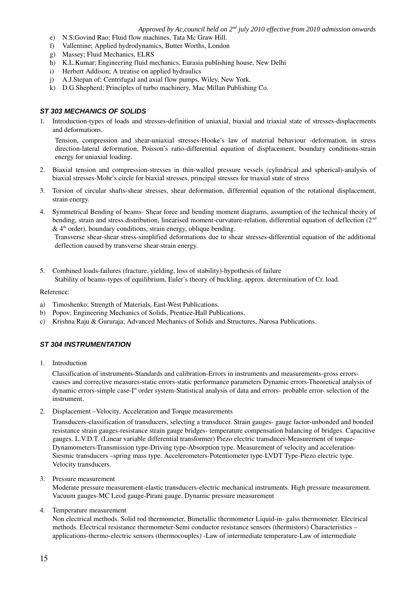- e) N.S.Govind Rao; Fluid flow machines, Tata Mc Graw Hill.
- f) Vallentine; Applied hydrodynamics, Butter Worths, London
- g) Massey; Fluid Mechanics, ELRS
- h) K.L.Kumar; Engineering fluid mechanics, Eurasia publishing house, New Delhi
- i) Herbert Addison; A treatise on applied hydraulics
- j) A.J.Stepan of; Centrifugal and axial flow pumps, Wiley, New York.
- k) D.G.Shepherd; Principles of turbo machinery, Mac Millan Publishing Co.

# *ST 303 MECHANICS OF SOLIDS*

1. Introduction-types of loads and stresses-definition of uniaxial, biaxial and triaxial state of stresses-displacements and deformations.

Tension, compression and shear-uniaxial stresses-Hooke's law of material behaviour -deformation, in stress direction-lateral deformation, Poisson's ratio-differential equation of displacement, boundary conditions-strain energy for uniaxial loading.

- 2. Biaxial tension and compression-stresses in thin-walled pressure vessels (cylindrical and spherical)-analysis of biaxial stresses-Mohr's circle for biaxial stresses, principal stresses for triaxial state of stress
- 3. Torsion of circular shaftsshear stresses, shear deformation, differential equation of the rotational displacement, strain energy.
- 4. Symmetrical Bending of beams Shear force and bending moment diagrams, assumption of the technical theory of bending, strain and stress distribution, linearised moment-curvature-relation, differential equation of deflection  $(2<sup>nd</sup>$  $&$  4<sup>th</sup> order), boundary conditions, strain energy, oblique bending.

Transverse shear-shear stress-simplified deformations due to shear stresses-differential equation of the additional deflection caused by transverse shear-strain energy.

5. Combined loads-failures (fracture, yielding, loss of stability)-hypothesis of failure Stability of beams-types of equilibrium, Euler's theory of buckling, approx. determination of Cr. load.

Reference:

- a) Timoshenko; Strength of Materials, East-West Publications.
- b) Popov; Engineering Mechanics of Solids, Prentice-Hall Publications.
- c) Krishna Raju & Gururaja; Advanced Mechanics of Solids and Structures, Narosa Publications.

# *ST 304 INSTRUMENTATION*

1. Introduction

Classification of instruments-Standards and calibration-Errors in instruments and measurements-gross errorscauses and corrective measures-static errors-static performance parameters Dynamic errors-Theoretical analysis of dynamic errors-simple case-I<sup>st</sup> order system-Statistical analysis of data and errors- probable error- selection of the instrument.

2. Displacement –Velocity, Acceleration and Torque measurements

Transducers-classification of transducers, selecting a transducer. Strain gauges- gauge factor-unbonded and bonded resistance strain gauges-resistance strain gauge bridges-temperature compensation balancing of bridges. Capacitive gauges. L.V.D.T. (Linear variable differential transformer) Piezo electric transducer-Measurement of torque-Dynamometers-Transmission type-Driving type-Absorption type. Measurement of velocity and acceleration-Siesmic transducers –spring mass type. Accelerometers-Potentiometer type-LVDT Type-Piezo electric type. Velocity transducers.

3. Pressure measurement

Moderate pressure measurement-elastic transducers-electric mechanical instruments. High pressure measurement. Vacuum gauges-MC Leod gauge-Pirani gauge. Dynamic pressure measurement

4. Temperature measurement

Non electrical methods. Solid rod thermometer, Bimetallic thermometer Liquid-in- galss thermometer. Electrical methods. Electrical resistance thermometer-Semi conductor resistance sensors (thermistors) Characteristics – applications-thermo-electric sensors (thermocouples) -Law of intermediate temperature-Law of intermediate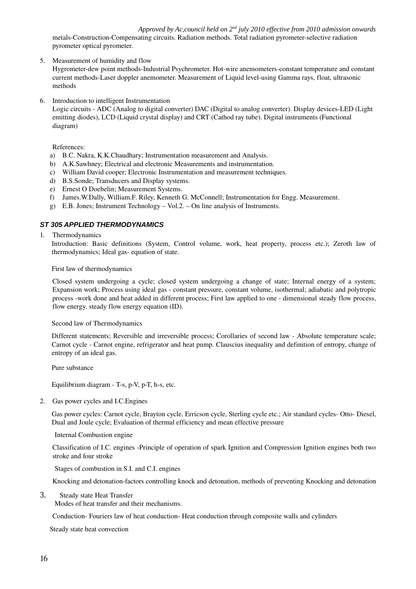metals-Construction-Compensating circuits. Radiation methods. Total radiation pyrometer-selective radiation pyrometer optical pyrometer.

5. Measurement of humidity and flow

Hygrometer-dew point methods-Industrial Psychrometer. Hot-wire anemometers-constant temperature and constant current methods-Laser doppler anemometer. Measurement of Liquid level-using Gamma rays, float, ultrasonic methods

6. Introduction to intelligent Instrumentation

Logic circuits - ADC (Analog to digital converter) DAC (Digital to analog converter). Display devices-LED (Light emitting diodes), LCD (Liquid crystal display) and CRT (Cathod ray tube). Digital instruments (Functional diagram)

References:

- a) B.C. Nakra, K.K.Chaudhary; Instrumentation measurement and Analysis.
- b) A.K.Sawhney; Electrical and electronic Measurements and instrumentation.
- c) William David cooper; Electronic Instrumentation and measurement techniques.
- d) B.S.Sonde; Transducers and Display systems.
- e) Ernest O Doebelin; Measurement Systems.
- f) James.W.Dally, William.F. Riley, Kenneth G. McConnell; Instrumentation for Engg. Measurement.
- g) E.B. Jones; Instrument Technology Vol.2. On line analysis of Instruments.

# *ST 305 APPLIED THERMODYNAMICS*

1. Thermodynamics

Introduction: Basic definitions (System, Control volume, work, heat property, process etc.); Zeroth law of thermodynamics; Ideal gas-equation of state.

First law of thermodynamics

Closed system undergoing a cycle; closed system undergoing a change of state; Internal energy of a system; Expansion work; Process using ideal gas constant pressure, constant volume, isothermal; adiabatic and polytropic process -work done and heat added in different process; First law applied to one - dimensional steady flow process, flow energy, steady flow energy equation (ID).

Second law of Thermodynamics

Different statements; Reversible and irreversible process; Corollaries of second law - Absolute temperature scale; Carnot cycle Carnot engine, refrigerator and heat pump. Clauscius inequality and definition of entropy, change of entropy of an ideal gas.

Pure substance

Equilibrium diagram  $-$  T-s, p-V, p-T, h-s, etc.

2. Gas power cycles and I.C.Engines

Gas power cycles: Carnot cycle, Brayton cycle, Erricson cycle, Sterling cycle etc.; Air standard cycles-Otto-Diesel, Dual and Joule cycle; Evaluation of thermal efficiency and mean effective pressure

Internal Combustion engine

Classification of I.C. engines Principle of operation of spark Ignition and Compression Ignition engines both two stroke and four stroke

Stages of combustion in S.I. and C.I. engines

Knocking and detonation-factors controlling knock and detonation, methods of preventing Knocking and detonation

3. Steady state Heat Transfer

Modes of heat transfer and their mechanisms.

Conduction- Fouriers law of heat conduction- Heat conduction through composite walls and cylinders

Steady state heat convection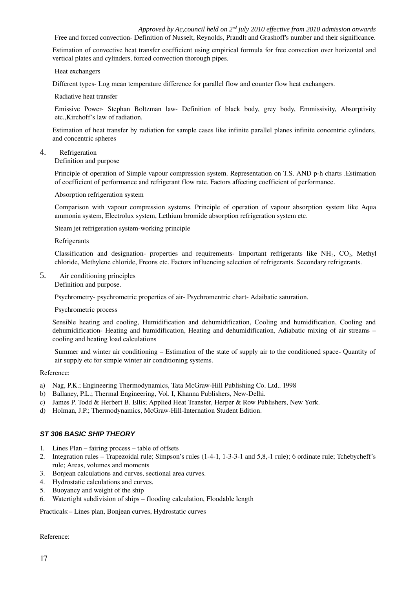Estimation of convective heat transfer coefficient using empirical formula for free convection over horizontal and vertical plates and cylinders, forced convection thorough pipes.

Heat exchangers

Different types-Log mean temperature difference for parallel flow and counter flow heat exchangers.

Radiative heat transfer

Emissive Power- Stephan Boltzman law- Definition of black body, grey body, Emmissivity, Absorptivity etc.,Kirchoff's law of radiation.

Estimation of heat transfer by radiation for sample cases like infinite parallel planes infinite concentric cylinders, and concentric spheres

4. Refrigeration

Definition and purpose

Principle of operation of Simple vapour compression system. Representation on T.S. AND p-h charts .Estimation of coefficient of performance and refrigerant flow rate. Factors affecting coefficient of performance.

#### Absorption refrigeration system

Comparison with vapour compression systems. Principle of operation of vapour absorption system like Aqua ammonia system, Electrolux system, Lethium bromide absorption refrigeration system etc.

Steam jet refrigeration system-working principle

Refrigerants

Classification and designation- properties and requirements- Important refrigerants like  $NH<sub>3</sub>$ ,  $CO<sub>2</sub>$ , Methyl chloride, Methylene chloride, Freons etc. Factors influencing selection of refrigerants. Secondary refrigerants.

5. Air conditioning principles

Definition and purpose.

Psychrometry- psychrometric properties of air- Psychromentric chart-Adaibatic saturation.

#### Psychrometric process

Sensible heating and cooling, Humidification and dehumidification, Cooling and humidification, Cooling and dehumidification- Heating and humidification, Heating and dehumidification, Adiabatic mixing of air streams cooling and heating load calculations

Summer and winter air conditioning – Estimation of the state of supply air to the conditioned space Quantity of air supply etc for simple winter air conditioning systems.

#### Reference:

- a) Nag, P.K.; Engineering Thermodynamics, Tata McGrawHill Publishing Co. Ltd.. 1998
- b) Ballaney, P.L.; Thermal Engineering, Vol. I, Khanna Publishers, New-Delhi.
- c) James P. Todd & Herbert B. Ellis; Applied Heat Transfer, Herper & Row Publishers, New York.
- d) Holman, J.P.; Thermodynamics, McGraw-Hill-Internation Student Edition.

# *ST 306 BASIC SHIP THEORY*

- 1. Lines Plan fairing process table of offsets
- 2. Integration rules Trapezoidal rule; Simpson's rules (1-4-1, 1-3-3-1 and 5,8,-1 rule); 6 ordinate rule; Tchebycheff's rule; Areas, volumes and moments
- 3. Bonjean calculations and curves, sectional area curves.
- 4. Hydrostatic calculations and curves.
- 5. Buoyancy and weight of the ship
- 6. Watertight subdivision of ships flooding calculation, Floodable length

Practicals:– Lines plan, Bonjean curves, Hydrostatic curves

Reference: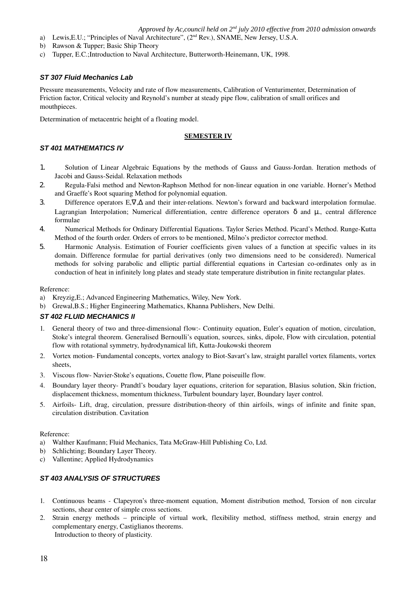- a) Lewis, E.U.; "Principles of Naval Architecture", (2<sup>nd</sup> Rev.), SNAME, New Jersey, U.S.A.
- b) Rawson & Tupper; Basic Ship Theory
- c) Tupper, E.C.;Introduction to Naval Architecture, Butterworth-Heinemann, UK, 1998.

# *ST 307 Fluid Mechanics Lab*

Pressure measurements, Velocity and rate of flow measurements, Calibration of Venturimenter, Determination of Friction factor, Critical velocity and Reynold's number at steady pipe flow, calibration of small orifices and mouthpieces.

Determination of metacentric height of a floating model.

# **SEMESTER IV**

# *ST 401 MATHEMATICS IV*

- 1. Solution of Linear Algebraic Equations by the methods of Gauss and Gauss-Jordan. Iteration methods of Jacobi and Gauss-Seidal. Relaxation methods
- 2. Regula-Falsi method and Newton-Raphson Method for non-linear equation in one variable. Horner's Method and Graeffe's Root squaring Method for polynomial equation.
- 3. Difference operators E, $\nabla$ ,  $\Delta$  and their inter-relations. Newton's forward and backward interpolation formulae. Lagrangian Interpolation; Numerical differentiation, centre difference operators  $\delta$  and  $\mu$ ., central difference formulae
- 4. Numerical Methods for Ordinary Differential Equations. Taylor Series Method. Picard's Method. Runge-Kutta Method of the fourth order. Orders of errors to be mentioned, Milno's predictor corrector method.
- 5. Harmonic Analysis. Estimation of Fourier coefficients given values of a function at specific values in its domain. Difference formulae for partial derivatives (only two dimensions need to be considered). Numerical methods for solving parabolic and elliptic partial differential equations in Cartesian co-ordinates only as in conduction of heat in infinitely long plates and steady state temperature distribution in finite rectangular plates.

#### Reference:

- a) Kreyzig,E.; Advanced Engineering Mathematics, Wiley, New York.
- b) Grewal,B.S.; Higher Engineering Mathematics, Khanna Publishers, New Delhi.

#### *ST 402 FLUID MECHANICS II*

- 1. General theory of two and three-dimensional flow:- Continuity equation, Euler's equation of motion, circulation, Stoke's integral theorem. Generalised Bernoulli's equation, sources, sinks, dipole, Flow with circulation, potential flow with rotational symmetry, hydrodynamical lift, Kutta-Joukowski theorem
- 2. Vortex motion- Fundamental concepts, vortex analogy to Biot-Savart's law, straight parallel vortex filaments, vortex sheets,
- 3. Viscous flow-Navier-Stoke's equations, Couette flow, Plane poiseuille flow.
- 4. Boundary layer theory- Prandtl's boudary layer equations, criterion for separation, Blasius solution, Skin friction, displacement thickness, momentum thickness, Turbulent boundary layer, Boundary layer control.
- 5. Airfoils- Lift, drag, circulation, pressure distribution-theory of thin airfoils, wings of infinite and finite span, circulation distribution. Cavitation

#### Reference:

- a) Walther Kaufmann; Fluid Mechanics, Tata McGraw-Hill Publishing Co, Ltd.
- b) Schlichting; Boundary Layer Theory.
- c) Vallentine; Applied Hydrodynamics

### *ST 403 ANALYSIS OF STRUCTURES*

- 1. Continuous beams Clapeyron's three-moment equation, Moment distribution method, Torsion of non circular sections, shear center of simple cross sections.
- 2. Strain energy methods – principle of virtual work, flexibility method, stiffness method, strain energy and complementary energy, Castiglianos theorems. Introduction to theory of plasticity.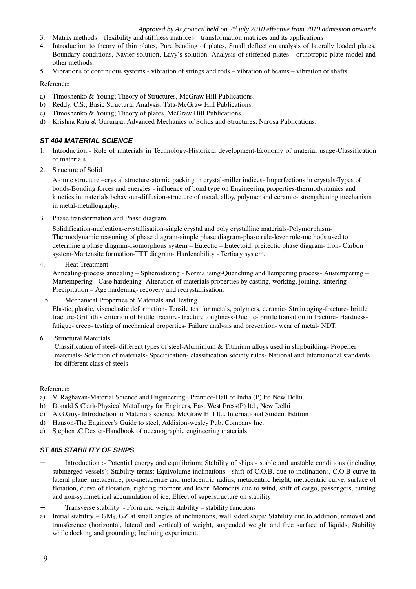- 3. Matrix methods flexibility and stiffness matrices transformation matrices and its applications
- 4. Introduction to theory of thin plates, Pure bending of plates, Small deflection analysis of laterally loaded plates, Boundary conditions, Navier solution, Lavy's solution. Analysis of stiffened plates orthotropic plate model and other methods.
- 5. Vibrations of continuous systems vibration of strings and rods vibration of beams vibration of shafts.

# Reference:

- a) Timoshenko & Young; Theory of Structures, McGraw Hill Publications.
- b) Reddy, C.S.; Basic Structural Analysis, Tata-McGraw Hill Publications.
- c) Timoshenko & Young; Theory of plates, McGraw Hill Publications.
- d) Krishna Raju & Gururaja; Advanced Mechanics of Solids and Structures, Narosa Publications.

# *ST 404 MATERIAL SCIENCE*

- 1. Introduction:- Role of materials in Technology-Historical development-Economy of material usage-Classification of materials.
- 2. Structure of Solid

Atomic structure –crystal structure-atomic packing in crystal-miller indices- Imperfections in crystals-Types of bonds-Bonding forces and energies - influence of bond type on Engineering properties-thermodynamics and kinetics in materials behaviour-diffusion-structure of metal, alloy, polymer and ceramic-strengthening mechanism in metal-metallography.

3. Phase transformation and Phase diagram

Solidification-nucleation-crystallisation-single crystal and poly crystalline materials-Polymorphism-Thermodynamic reasoning of phase diagram-simple phase diagram-phase rule-lever rule-methods used to determine a phase diagram-Isomorphous system – Eutectic – Eutectoid, preitectic phase diagram-Iron-Carbon system-Martensite formation-TTT diagram- Hardenability - Tertiary system.

#### 4. Heat Treatment

Annealing-process annealing – Spheroidizing - Normalising-Quenching and Tempering process-Austempering – Martempering - Case hardening- Alteration of materials properties by casting, working, joining, sintering – Precipitation – Age hardening- recovery and recrystallisation.

5. Mechanical Properties of Materials and Testing

Elastic, plastic, viscoelastic deformation-Tensile test for metals, polymers, ceramic-Strain aging-fracture-brittle fracture-Griffith's criterion of brittle fracture-fracture toughness-Ductile-brittle transition in fracture-Hardnessfatigue- creep- testing of mechanical properties- Failure analysis and prevention- wear of metal-NDT.

6. Structural Materials

Classification of steel- different types of steel-Aluminium & Titanium alloys used in shipbuilding-Propeller materials- Selection of materials- Specification-classification society rules-National and International standards for different class of steels

#### Reference:

- a) V. Raghavan-Material Science and Engineering , Prentice-Hall of India (P) ltd New Delhi.
- b) Donald S Clark-Physical Metallurgy for Enginers, East West Press(P) ltd , New Delhi
- c) A.G.Guy Introduction to Materials science, McGraw Hill ltd, International Student Edition
- d) Hanson-The Engineer's Guide to steel, Addision-wesley Pub. Company Inc.
- e) Stephen .C.Dexter-Handbook of oceanographic engineering materials.

# *ST 405 STABILITY OF SHIPS*

- Introduction :- Potential energy and equilibrium; Stability of ships stable and unstable conditions (including submerged vessels); Stability terms; Equivolume inclinations - shift of C.O.B. due to inclinations, C.O.B curve in lateral plane, metacentre, pro-metacentre and metacentric radius, metacentric height, metacentric curve, surface of flotation, curve of flotation, righting moment and lever; Moments due to wind, shift of cargo, passengers, turning and non-symmetrical accumulation of ice; Effect of superstructure on stability
- Transverse stability: Form and weight stability stability functions
- a) Initial stability  $GM<sub>0</sub>$ , GZ at small angles of inclinations, wall sided ships; Stability due to addition, removal and transference (horizontal, lateral and vertical) of weight, suspended weight and free surface of liquids; Stability while docking and grounding; Inclining experiment.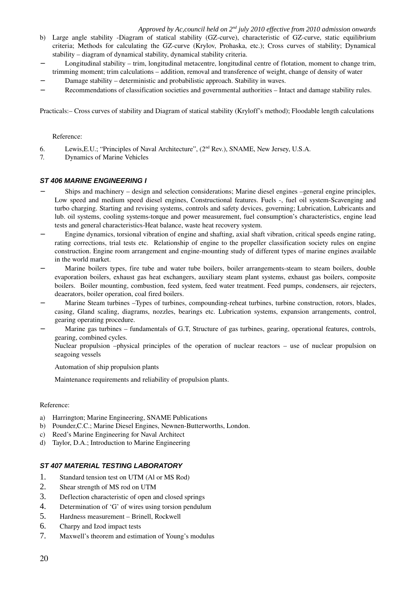- b) Large angle stability -Diagram of statical stability (GZ-curve), characteristic of GZ-curve, static equilibrium criteria; Methods for calculating the GZ-curve (Krylov, Prohaska, etc.); Cross curves of stability; Dynamical stability – diagram of dynamical stability, dynamical stability criteria.
- − Longitudinal stability trim, longitudinal metacentre, longitudinal centre of flotation, moment to change trim, trimming moment; trim calculations – addition, removal and transference of weight, change of density of water
- − Damage stability deterministic and probabilistic approach. Stability in waves.
- − Recommendations of classification societies and governmental authorities Intact and damage stability rules.

Practicals:– Cross curves of stability and Diagram of statical stability (Kryloff's method); Floodable length calculations

# Reference:

- 6. Lewis,E.U.; "Principles of Naval Architecture", (2nd Rev.), SNAME, New Jersey, U.S.A.
- 7. Dynamics of Marine Vehicles

# *ST 406 MARINE ENGINEERING I*

- − Ships and machinery design and selection considerations; Marine diesel engines –general engine principles, Low speed and medium speed diesel engines, Constructional features. Fuels -, fuel oil system-Scavenging and turbo charging. Starting and revising systems, controls and safety devices, governing; Lubrication, Lubricants and lub. oil systems, cooling systems-torque and power measurement, fuel consumption's characteristics, engine lead tests and general characteristics-Heat balance, waste heat recovery system.
- Engine dynamics, torsional vibration of engine and shafting, axial shaft vibration, critical speeds engine rating, rating corrections, trial tests etc. Relationship of engine to the propeller classification society rules on engine construction. Engine room arrangement and engine-mounting study of different types of marine engines available in the world market.
- Marine boilers types, fire tube and water tube boilers, boiler arrangements-steam to steam boilers, double evaporation boilers, exhaust gas heat exchangers, auxiliary steam plant systems, exhaust gas boilers, composite boilers. Boiler mounting, combustion, feed system, feed water treatment. Feed pumps, condensers, air rejecters, deaerators, boiler operation, coal fired boilers.
- Marine Steam turbines –Types of turbines, compounding-reheat turbines, turbine construction, rotors, blades, casing, Gland scaling, diagrams, nozzles, bearings etc. Lubrication systems, expansion arrangements, control, gearing operating procedure.
- − Marine gas turbines fundamentals of G.T, Structure of gas turbines, gearing, operational features, controls, gearing, combined cycles.

Nuclear propulsion –physical principles of the operation of nuclear reactors – use of nuclear propulsion on seagoing vessels

Automation of ship propulsion plants

Maintenance requirements and reliability of propulsion plants.

#### Reference:

- a) Harrington; Marine Engineering, SNAME Publications
- b) Pounder, C.C.; Marine Diesel Engines, Newnen-Butterworths, London.
- c) Reed's Marine Engineering for Naval Architect
- d) Taylor, D.A.; Introduction to Marine Engineering

#### *ST 407 MATERIAL TESTING LABORATORY*

- 1. Standard tension test on UTM (Al or MS Rod)
- 2. Shear strength of MS rod on UTM
- 3. Deflection characteristic of open and closed springs
- 4. Determination of 'G' of wires using torsion pendulum
- 5. Hardness measurement Brinell, Rockwell
- 6. Charpy and Izod impact tests
- 7. Maxwell's theorem and estimation of Young's modulus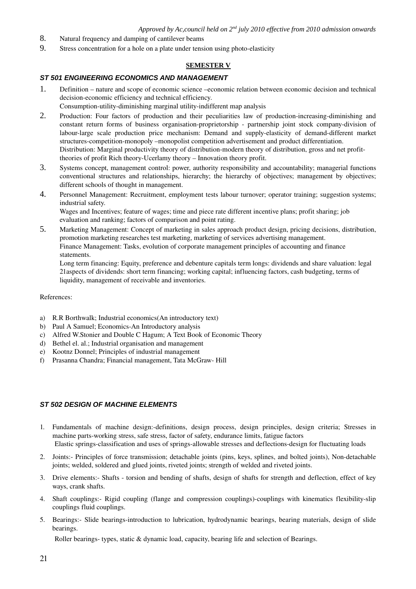- 8. Natural frequency and damping of cantilever beams
- 9. Stress concentration for a hole on a plate under tension using photo-elasticity

# **SEMESTER V**

### *ST 501 ENGINEERING ECONOMICS AND MANAGEMENT*

- 1. Definition nature and scope of economic science –economic relation between economic decision and technical decision-economic efficiency and technical efficiency.
- Consumption-utility-diminishing marginal utility-indifferent map analysis
- 2. Production: Four factors of production and their peculiarities law of production-increasing-diminishing and constant return forms of business organisation-proprietorship - partnership joint stock company-division of labour-large scale production price mechanism: Demand and supply-elasticity of demand-different market structures-competition-monopoly –monopolist competition advertisement and product differentiation. Distribution: Marginal productivity theory of distribution-modern theory of distribution, gross and net profittheories of profit Rich theory-Ucerlamy theory – Innovation theory profit.
- 3. Systems concept, management control: power, authority responsibility and accountability; managerial functions conventional structures and relationships, hierarchy; the hierarchy of objectives; management by objectives; different schools of thought in management.
- 4. Personnel Management: Recruitment, employment tests labour turnover; operator training; suggestion systems; industrial safety. Wages and Incentives; feature of wages; time and piece rate different incentive plans; profit sharing; job

evaluation and ranking; factors of comparison and point rating.

5. Marketing Management: Concept of marketing in sales approach product design, pricing decisions, distribution, promotion marketing researches test marketing, marketing of services advertising management. Finance Management: Tasks, evolution of corporate management principles of accounting and finance statements.

Long term financing: Equity, preference and debenture capitals term longs: dividends and share valuation: legal 21aspects of dividends: short term financing; working capital; influencing factors, cash budgeting, terms of liquidity, management of receivable and inventories.

# References:

- a) R.R Borthwalk; Industrial economics(An introductory text)
- b) Paul A Samuel; Economics-An Introductory analysis
- c) Alfred W.Stonier and Double C Hagum; A Text Book of Economic Theory
- d) Bethel el. al.; Industrial organisation and management
- e) Kootnz Donnel; Principles of industrial management
- f) Prasanna Chandra; Financial management, Tata McGraw-Hill

#### *ST 502 DESIGN OF MACHINE ELEMENTS*

- 1. Fundamentals of machine design:-definitions, design process, design principles, design criteria; Stresses in machine parts-working stress, safe stress, factor of safety, endurance limits, fatigue factors Elastic springs-classification and uses of springs-allowable stresses and deflections-design for fluctuating loads
- 2. Joints:- Principles of force transmission; detachable joints (pins, keys, splines, and bolted joints), Non-detachable joints; welded, soldered and glued joints, riveted joints; strength of welded and riveted joints.
- 3. Drive elements: Shafts torsion and bending of shafts, design of shafts for strength and deflection, effect of key ways, crank shafts.
- 4. Shaft couplings: Rigid coupling (flange and compression couplings)couplings with kinematics flexibilityslip couplings fluid couplings.
- 5. Bearings:- Slide bearings-introduction to lubrication, hydrodynamic bearings, bearing materials, design of slide bearings.

Roller bearings- types, static & dynamic load, capacity, bearing life and selection of Bearings.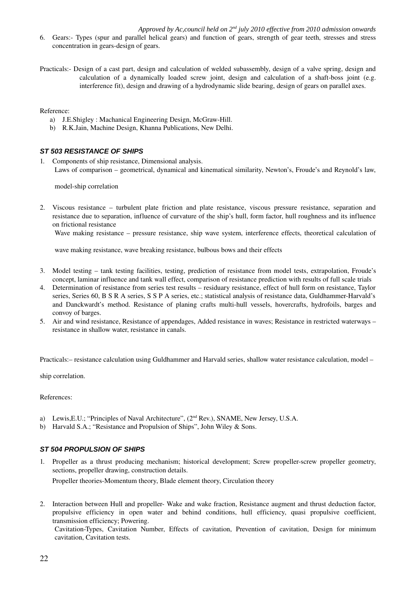- 6. Gears: Types (spur and parallel helical gears) and function of gears, strength of gear teeth, stresses and stress concentration in gears-design of gears.
- Practicals: Design of a cast part, design and calculation of welded subassembly, design of a valve spring, design and calculation of a dynamically loaded screw joint, design and calculation of a shaft-boss joint  $(e.g.,\)$ interference fit), design and drawing of a hydrodynamic slide bearing, design of gears on parallel axes.

Reference:

- a) J.E.Shigley : Machanical Engineering Design, McGraw-Hill.
- b) R.K.Jain, Machine Design, Khanna Publications, New Delhi.

#### *ST 503 RESISTANCE OF SHIPS*

1. Components of ship resistance, Dimensional analysis. Laws of comparison – geometrical, dynamical and kinematical similarity, Newton's, Froude's and Reynold's law,

model-ship correlation

2. Viscous resistance – turbulent plate friction and plate resistance, viscous pressure resistance, separation and resistance due to separation, influence of curvature of the ship's hull, form factor, hull roughness and its influence on frictional resistance

Wave making resistance – pressure resistance, ship wave system, interference effects, theoretical calculation of

wave making resistance, wave breaking resistance, bulbous bows and their effects

- 3. Model testing tank testing facilities, testing, prediction of resistance from model tests, extrapolation, Froude's concept, laminar influence and tank wall effect, comparison of resistance prediction with results of full scale trials
- 4. Determination of resistance from series test results residuary resistance, effect of hull form on resistance, Taylor series, Series 60, B S R A series, S S P A series, etc.; statistical analysis of resistance data, Guldhammer-Harvald's and Danckwardt's method. Resistance of planing crafts multi-hull vessels, hovercrafts, hydrofoils, barges and convoy of barges.
- 5. Air and wind resistance, Resistance of appendages, Added resistance in waves; Resistance in restricted waterways resistance in shallow water, resistance in canals.

Practicals:– resistance calculation using Guldhammer and Harvald series, shallow water resistance calculation, model –

ship correlation.

References:

- a) Lewis, E.U.; "Principles of Naval Architecture",  $(2<sup>nd</sup> Rev)$ , SNAME, New Jersey, U.S.A.
- b) Harvald S.A.; "Resistance and Propulsion of Ships", John Wiley & Sons.

#### *ST 504 PROPULSION OF SHIPS*

1. Propeller as a thrust producing mechanism; historical development; Screw propeller-screw propeller geometry, sections, propeller drawing, construction details.

Propeller theories-Momentum theory, Blade element theory, Circulation theory

2. Interaction between Hull and propeller-Wake and wake fraction, Resistance augment and thrust deduction factor, propulsive efficiency in open water and behind conditions, hull efficiency, quasi propulsive coefficient, transmission efficiency; Powering.

Cavitation-Types, Cavitation Number, Effects of cavitation, Prevention of cavitation, Design for minimum cavitation, Cavitation tests.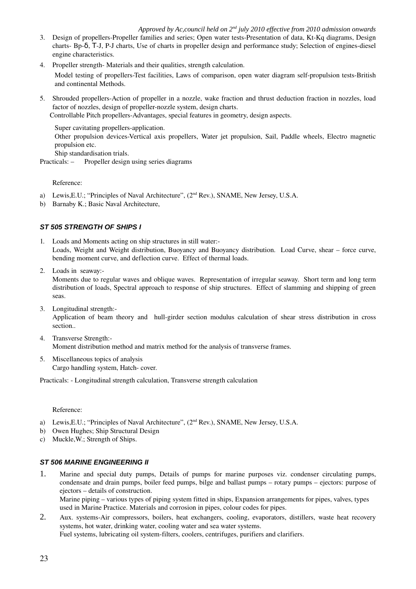- 3. Design of propellers-Propeller families and series; Open water tests-Presentation of data, Kt-Kq diagrams, Design charts- Bp-δ, T-J, P-J charts, Use of charts in propeller design and performance study; Selection of engines-diesel engine characteristics.
- 4. Propeller strength-Materials and their qualities, strength calculation.

Model testing of propellers-Test facilities, Laws of comparison, open water diagram self-propulsion tests-British and continental Methods.

5. Shrouded propellersAction of propeller in a nozzle, wake fraction and thrust deduction fraction in nozzles, load factor of nozzles, design of propeller-nozzle system, design charts.

Controllable Pitch propellers-Advantages, special features in geometry, design aspects.

Super cavitating propellers-application. Other propulsion devices-Vertical axis propellers, Water jet propulsion, Sail, Paddle wheels, Electro magnetic propulsion etc. Ship standardisation trials.

Practicals: – Propeller design using series diagrams

Reference:

- a) Lewis, E.U.; "Principles of Naval Architecture", (2<sup>nd</sup> Rev.), SNAME, New Jersey, U.S.A.
- b) Barnaby K.; Basic Naval Architecture,

# *ST 505 STRENGTH OF SHIPS I*

- 1. Loads and Moments acting on ship structures in still water: Loads, Weight and Weight distribution, Buoyancy and Buoyancy distribution. Load Curve, shear – force curve, bending moment curve, and deflection curve. Effect of thermal loads.
- 2. Loads in seaway:

Moments due to regular waves and oblique waves. Representation of irregular seaway. Short term and long term distribution of loads, Spectral approach to response of ship structures. Effect of slamming and shipping of green seas.

- 3. Longitudinal strength: Application of beam theory and hull-girder section modulus calculation of shear stress distribution in cross section..
- 4. Transverse Strength: Moment distribution method and matrix method for the analysis of transverse frames.
- 5. Miscellaneous topics of analysis Cargo handling system, Hatch-cover.

Practicals: Longitudinal strength calculation, Transverse strength calculation

# Reference:

- a) Lewis, E.U.; "Principles of Naval Architecture", (2<sup>nd</sup> Rev.), SNAME, New Jersey, U.S.A.
- b) Owen Hughes; Ship Structural Design
- c) Muckle,W.; Strength of Ships.

# *ST 506 MARINE ENGINEERING II*

1. Marine and special duty pumps, Details of pumps for marine purposes viz. condenser circulating pumps, condensate and drain pumps, boiler feed pumps, bilge and ballast pumps – rotary pumps – ejectors: purpose of ejectors – details of construction.

Marine piping – various types of piping system fitted in ships, Expansion arrangements for pipes, valves, types used in Marine Practice. Materials and corrosion in pipes, colour codes for pipes.

2. Aux. systems-Air compressors, boilers, heat exchangers, cooling, evaporators, distillers, waste heat recovery systems, hot water, drinking water, cooling water and sea water systems. Fuel systems, lubricating oil system-filters, coolers, centrifuges, purifiers and clarifiers.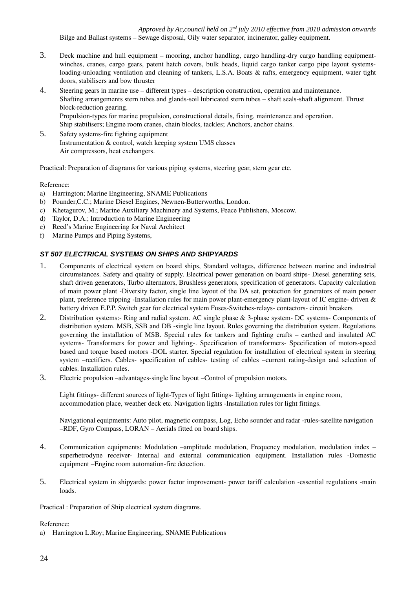*Approved by Ac,council held on 2nd july 2010 effective from 2010 admission onwards* Bilge and Ballast systems – Sewage disposal, Oily water separator, incinerator, galley equipment.

- 3. Deck machine and hull equipment mooring, anchor handling, cargo handling-dry cargo handling equipmentwinches, cranes, cargo gears, patent hatch covers, bulk heads, liquid cargo tanker cargo pipe layout systemsloading-unloading ventilation and cleaning of tankers, L.S.A. Boats & rafts, emergency equipment, water tight doors, stabilisers and bow thruster
- 4. Steering gears in marine use different types description construction, operation and maintenance. Shafting arrangements stern tubes and glands-soil lubricated stern tubes - shaft seals-shaft alignment. Thrust block-reduction gearing. Propulsion-types for marine propulsion, constructional details, fixing, maintenance and operation. Ship stabilisers; Engine room cranes, chain blocks, tackles; Anchors, anchor chains.
- 5. Safety systems-fire fighting equipment Instrumentation & control, watch keeping system UMS classes Air compressors, heat exchangers.

Practical: Preparation of diagrams for various piping systems, steering gear, stern gear etc.

# Reference:

- a) Harrington; Marine Engineering, SNAME Publications
- b) Pounder, C.C.; Marine Diesel Engines, Newnen-Butterworths, London.
- c) Khetagurov, M.; Marine Auxiliary Machinery and Systems, Peace Publishers, Moscow.
- d) Taylor, D.A.; Introduction to Marine Engineering
- e) Reed's Marine Engineering for Naval Architect
- f) Marine Pumps and Piping Systems,

# *ST 507 ELECTRICAL SYSTEMS ON SHIPS AND SHIPYARDS*

- 1. Components of electrical system on board ships, Standard voltages, difference between marine and industrial circumstances. Safety and quality of supply. Electrical power generation on board ships-Diesel generating sets, shaft driven generators, Turbo alternators, Brushless generators, specification of generators. Capacity calculation of main power plant Diversity factor, single line layout of the DA set, protection for generators of main power plant, preference tripping -Installation rules for main power plant-emergency plant-layout of IC engine- driven & battery driven E.P.P. Switch gear for electrical system Fuses-Switches-relays- contactors- circuit breakers
- 2. Distribution systems:- Ring and radial system. AC single phase & 3-phase system DC systems- Components of distribution system. MSB, SSB and DB -single line layout. Rules governing the distribution system. Regulations governing the installation of MSB. Special rules for tankers and fighting crafts – earthed and insulated AC systems- Transformers for power and lighting-. Specification of transformers- Specification of motors-speed based and torque based motors -DOL starter. Special regulation for installation of electrical system in steering system –rectifiers. Cables- specification of cables- testing of cables –current rating-design and selection of cables. Installation rules.
- 3. Electric propulsion –advantages-single line layout –Control of propulsion motors.

Light fittings- different sources of light-Types of light fittings- lighting arrangements in engine room, accommodation place, weather deck etc. Navigation lights -Installation rules for light fittings.

Navigational equipments: Auto pilot, magnetic compass, Log, Echo sounder and radar -rules-satellite navigation –RDF, Gyro Compass, LORAN – Aerials fitted on board ships.

- 4. Communication equipments: Modulation –amplitude modulation, Frequency modulation, modulation index superhetrodyne receiver- Internal and external communication equipment. Installation rules -Domestic equipment –Engine room automation-fire detection.
- 5. Electrical system in shipyards: power factor improvement- power tariff calculation -essential regulations -main loads.

Practical : Preparation of Ship electrical system diagrams.

#### Reference:

a) Harrington L.Roy; Marine Engineering, SNAME Publications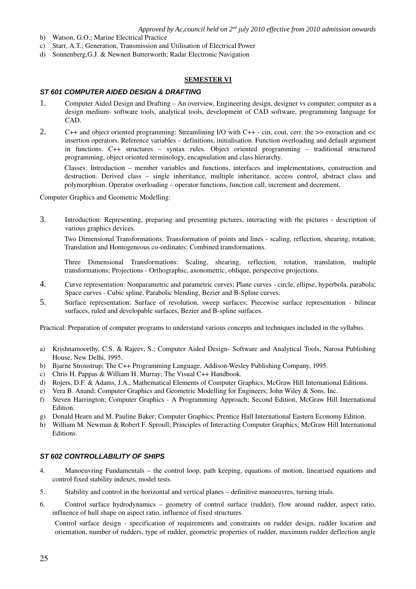- b) Watson, G.O.; Marine Electrical Practice
- c) Starr, A.T.; Generation, Transmission and Utilisation of Electrical Power
- d) Sonnenberg,G.J. & Newnen Butterworth; Radar Electronic Navigation

#### **SEMESTER VI**

#### *ST 601 COMPUTER AIDED DESIGN & DRAFTING*

- 1. Computer Aided Design and Drafting An overview, Engineering design, designer vs computer; computer as a design medium- software tools, analytical tools, development of CAD software, programming language for CAD.
- 2. C++ and object oriented programming: Streamlining I/O with C++ cin, cout, cerr, the >> extraction and << insertion operators. Reference variables – definitions, initialisation. Function overloading and default argument in functions. C++ structures – syntax rules. Object oriented programming – traditional structured programming, object oriented terminology, encapsulation and class hierarchy.

Classes: Introduction – member variables and functions, interfaces and implementations, construction and destruction. Derived class – single inheritance, multiple inheritance, access control, abstract class and polymorphism. Operator overloading – operator functions, function call, increment and decrement.

Computer Graphics and Geometric Modelling:

3. Introduction: Representing, preparing and presenting pictures, interacting with the pictures description of various graphics devices.

Two Dimensional Transformations: Transformation of points and lines - scaling, reflection, shearing, rotation; Translation and Homogeneous co-ordinates; Combined transformations.

Three Dimensional Transformations: Scaling, shearing, reflection, rotation, translation, multiple transformations; Projections - Orthographic, axonometric, oblique, perspective projections.

- 4. Curve representation: Nonparametric and parametric curves; Plane curves circle, ellipse, hyperbola, parabola; Space curves - Cubic spline, Parabolic blending, Bezier and B-Spline curves.
- 5. Surface representation: Surface of revolution, sweep surfaces; Piecewise surface representation bilinear surfaces, ruled and developable surfaces. Bezier and B-spline surfaces.

Practical: Preparation of computer programs to understand various concepts and techniques included in the syllabus.

- a) Krishnamoorthy, C.S. & Rajeev, S.; Computer Aided Design-Software and Analytical Tools, Narosa Publishing House, New Delhi, 1995.
- b) Bjarne Stroustrup; The C++ Programming Language, Addison-Wesley Publishing Company, 1995.
- c) Chris H. Pappas & William H. Murray; The Visual C++ Handbook.
- d) Rojers, D.F. & Adams, J.A., Mathematical Elements of Computer Graphics, McGraw Hill International Editions.
- e) Vera B. Anand; Computer Graphics and Geometric Modelling for Engineers; John Wiley & Sons, Inc.
- f) Steven Harrington; Computer Graphics A Programming Approach; Second Edition, McGraw Hill International Edition.
- g) Donald Hearn and M. Pauline Baker; Computer Graphics; Prentice Hall International Eastern Economy Edition.
- h) William M. Newman & Robert F. Sproull; Principles of Interacting Computer Graphics; McGraw Hill International Editions.

#### *ST 602 CONTROLLABILITY OF SHIPS*

- 4. Manoeuvring Fundamentals the control loop, path keeping, equations of motion, linearised equations and control fixed stability indexes, model tests.
- 5. Stability and control in the horizontal and vertical planes definitive manoeuvres, turning trials.
- 6. Control surface hydrodynamics geometry of control surface (rudder), flow around rudder, aspect ratio, influence of hull shape on aspect ratio, influence of fixed structures.

Control surface design - specification of requirements and constraints on rudder design, rudder location and orientation, number of rudders, type of rudder, geometric properties of rudder, maximum rudder deflection angle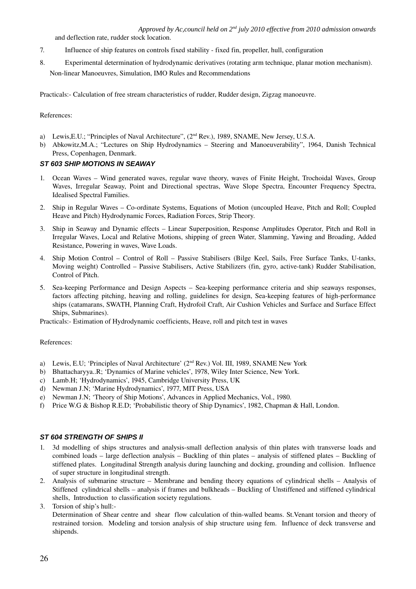and deflection rate, rudder stock location.

- 7. Influence of ship features on controls fixed stability fixed fin, propeller, hull, configuration
- 8. Experimental determination of hydrodynamic derivatives (rotating arm technique, planar motion mechanism). Non-linear Manoeuvres, Simulation, IMO Rules and Recommendations

Practicals: Calculation of free stream characteristics of rudder, Rudder design, Zigzag manoeuvre.

### References:

- a) Lewis, E.U.; "Principles of Naval Architecture", (2<sup>nd</sup> Rev.), 1989, SNAME, New Jersey, U.S.A.
- b) Abkowitz,M.A.; "Lectures on Ship Hydrodynamics Steering and Manoeuverability", 1964, Danish Technical Press, Copenhagen, Denmark.

# *ST 603 SHIP MOTIONS IN SEAWAY*

- 1. Ocean Waves Wind generated waves, regular wave theory, waves of Finite Height, Trochoidal Waves, Group Waves, Irregular Seaway, Point and Directional spectras, Wave Slope Spectra, Encounter Frequency Spectra, Idealised Spectral Families.
- 2. Ship in Regular Waves Co-ordinate Systems, Equations of Motion (uncoupled Heave, Pitch and Roll; Coupled Heave and Pitch) Hydrodynamic Forces, Radiation Forces, Strip Theory.
- 3. Ship in Seaway and Dynamic effects Linear Superposition, Response Amplitudes Operator, Pitch and Roll in Irregular Waves, Local and Relative Motions, shipping of green Water, Slamming, Yawing and Broading, Added Resistance, Powering in waves, Wave Loads.
- 4. Ship Motion Control Control of Roll Passive Stabilisers (Bilge Keel, Sails, Free Surface Tanks, U-tanks, Moving weight) Controlled – Passive Stabilisers, Active Stabilizers (fin, gyro, active-tank) Rudder Stabilisation, Control of Pitch.
- 5. Sea-keeping Performance and Design Aspects Sea-keeping performance criteria and ship seaways responses, factors affecting pitching, heaving and rolling, guidelines for design, Sea-keeping features of high-performance ships (catamarans, SWATH, Planning Craft, Hydrofoil Craft, Air Cushion Vehicles and Surface and Surface Effect Ships, Submarines).

Practicals: Estimation of Hydrodynamic coefficients, Heave, roll and pitch test in waves

#### References:

- a) Lewis, E.U; 'Principles of Naval Architecture' ( $2<sup>nd</sup>$  Rev.) Vol. III, 1989, SNAME New York
- b) Bhattacharyya..R; 'Dynamics of Marine vehicles', 1978, Wiley Inter Science, New York.
- c) Lamb.H; 'Hydrodynamics', 1945, Cambridge University Press, UK
- d) Newman J.N; 'Marine Hydrodynamics', 1977, MIT Press, USA
- e) Newman J.N; 'Theory of Ship Motions', Advances in Applied Mechanics, Vol., 1980.
- f) Price W.G & Bishop R.E.D; 'Probabilistic theory of Ship Dynamics', 1982, Chapman & Hall, London.

#### *ST 604 STRENGTH OF SHIPS II*

- 1. 3d modelling of ships structures and analysis-small deflection analysis of thin plates with transverse loads and combined loads – large deflection analysis – Buckling of thin plates – analysis of stiffened plates – Buckling of stiffened plates. Longitudinal Strength analysis during launching and docking, grounding and collision. Influence of super structure in longitudinal strength.
- 2. Analysis of submarine structure Membrane and bending theory equations of cylindrical shells Analysis of Stiffened cylindrical shells – analysis if frames and bulkheads – Buckling of Unstiffened and stiffened cylindrical shells, Introduction to classification society regulations.
- 3. Torsion of ship's hull:

Determination of Shear centre and shear flow calculation of thin-walled beams. St.Venant torsion and theory of restrained torsion. Modeling and torsion analysis of ship structure using fem. Influence of deck transverse and shipends.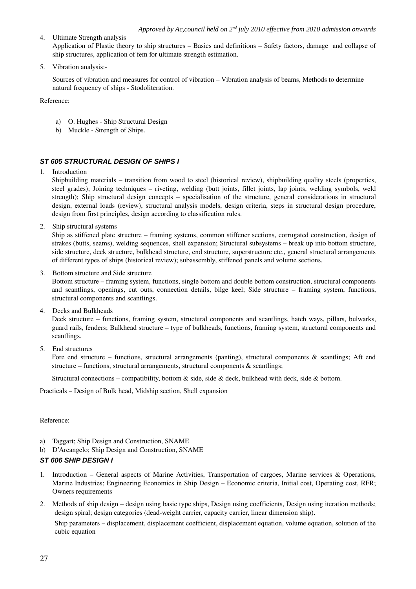# 4. Ultimate Strength analysis Application of Plastic theory to ship structures – Basics and definitions – Safety factors, damage and collapse of ship structures, application of fem for ultimate strength estimation.

5. Vibration analysis:

Sources of vibration and measures for control of vibration – Vibration analysis of beams, Methods to determine natural frequency of ships - Stodoliteration.

Reference:

- a) O. Hughes Ship Structural Design
- b) Muckle Strength of Ships.

# *ST 605 STRUCTURAL DESIGN OF SHIPS I*

1. Introduction

Shipbuilding materials – transition from wood to steel (historical review), shipbuilding quality steels (properties, steel grades); Joining techniques – riveting, welding (butt joints, fillet joints, lap joints, welding symbols, weld strength); Ship structural design concepts – specialisation of the structure, general considerations in structural design, external loads (review), structural analysis models, design criteria, steps in structural design procedure, design from first principles, design according to classification rules.

2. Ship structural systems

Ship as stiffened plate structure – framing systems, common stiffener sections, corrugated construction, design of strakes (butts, seams), welding sequences, shell expansion; Structural subsystems – break up into bottom structure, side structure, deck structure, bulkhead structure, end structure, superstructure etc., general structural arrangements of different types of ships (historical review); subassembly, stiffened panels and volume sections.

3. Bottom structure and Side structure

Bottom structure – framing system, functions, single bottom and double bottom construction, structural components and scantlings, openings, cut outs, connection details, bilge keel; Side structure – framing system, functions, structural components and scantlings.

4. Decks and Bulkheads

Deck structure – functions, framing system, structural components and scantlings, hatch ways, pillars, bulwarks, guard rails, fenders; Bulkhead structure – type of bulkheads, functions, framing system, structural components and scantlings.

5. End structures

Fore end structure – functions, structural arrangements (panting), structural components  $\&$  scantlings; Aft end structure – functions, structural arrangements, structural components  $\&$  scantlings;

Structural connections – compatibility, bottom  $\&$  side, side  $\&$  deck, bulkhead with deck, side  $\&$  bottom.

Practicals – Design of Bulk head, Midship section, Shell expansion

Reference:

- a) Taggart; Ship Design and Construction, SNAME
- b) D'Arcangelo; Ship Design and Construction, SNAME

# *ST 606 SHIP DESIGN I*

- 1. Introduction General aspects of Marine Activities, Transportation of cargoes, Marine services & Operations, Marine Industries; Engineering Economics in Ship Design – Economic criteria, Initial cost, Operating cost, RFR; Owners requirements
- 2. Methods of ship design design using basic type ships, Design using coefficients, Design using iteration methods; design spiral; design categories (dead-weight carrier, capacity carrier, linear dimension ship).

Ship parameters – displacement, displacement coefficient, displacement equation, volume equation, solution of the cubic equation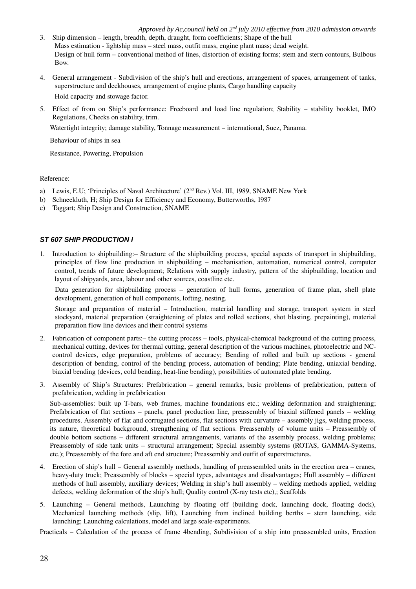- 3. Ship dimension length, breadth, depth, draught, form coefficients; Shape of the hull Mass estimation - lightship mass – steel mass, outfit mass, engine plant mass; dead weight. Design of hull form – conventional method of lines, distortion of existing forms; stem and stern contours, Bulbous Bow.
- 4. General arrangement Subdivision of the ship's hull and erections, arrangement of spaces, arrangement of tanks, superstructure and deckhouses, arrangement of engine plants, Cargo handling capacity Hold capacity and stowage factor.
- 5. Effect of from on Ship's performance: Freeboard and load line regulation; Stability stability booklet, IMO Regulations, Checks on stability, trim.

Watertight integrity; damage stability, Tonnage measurement – international, Suez, Panama.

Behaviour of ships in sea

Resistance, Powering, Propulsion

# Reference:

- a) Lewis, E.U; 'Principles of Naval Architecture' (2<sup>nd</sup> Rev.) Vol. III, 1989, SNAME New York
- b) Schneekluth, H; Ship Design for Efficiency and Economy, Butterworths, 1987
- c) Taggart; Ship Design and Construction, SNAME

# *ST 607 SHIP PRODUCTION I*

1. Introduction to shipbuilding:– Structure of the shipbuilding process, special aspects of transport in shipbuilding, principles of flow line production in shipbuilding – mechanisation, automation, numerical control, computer control, trends of future development; Relations with supply industry, pattern of the shipbuilding, location and layout of shipyards, area, labour and other sources, coastline etc.

Data generation for shipbuilding process – generation of hull forms, generation of frame plan, shell plate development, generation of hull components, lofting, nesting.

Storage and preparation of material – Introduction, material handling and storage, transport system in steel stockyard, material preparation (straightening of plates and rolled sections, shot blasting, prepainting), material preparation flow line devices and their control systems

- 2. Fabrication of component parts: the cutting process tools, physical-chemical background of the cutting process, mechanical cutting, devices for thermal cutting, general description of the various machines, photoelectric and NCcontrol devices, edge preparation, problems of accuracy; Bending of rolled and built up sections - general description of bending, control of the bending process, automation of bending; Plate bending, uniaxial bending, biaxial bending (devices, cold bending, heat-line bending), possibilities of automated plate bending.
- 3. Assembly of Ship's Structures: Prefabrication general remarks, basic problems of prefabrication, pattern of prefabrication, welding in prefabrication

Sub-assemblies: built up T-bars, web frames, machine foundations etc.; welding deformation and straightening; Prefabrication of flat sections – panels, panel production line, preassembly of biaxial stiffened panels – welding procedures. Assembly of flat and corrugated sections, flat sections with curvature – assembly jigs, welding process, its nature, theoretical background, strengthening of flat sections. Preassembly of volume units – Preassembly of double bottom sections – different structural arrangements, variants of the assembly process, welding problems; Preassembly of side tank units – structural arrangement; Special assembly systems (ROTAS, GAMMA-Systems, etc.); Preassembly of the fore and aft end structure; Preassembly and outfit of superstructures.

- 4. Erection of ship's hull General assembly methods, handling of preassembled units in the erection area cranes, heavyduty truck; Preassembly of blocks – special types, advantages and disadvantages; Hull assembly – different methods of hull assembly, auxiliary devices; Welding in ship's hull assembly – welding methods applied, welding defects, welding deformation of the ship's hull; Quality control  $(X-ray \text{ tests etc})$ ; Scaffolds
- 5. Launching General methods, Launching by floating off (building dock, launching dock, floating dock), Mechanical launching methods (slip, lift), Launching from inclined building berths – stern launching, side launching; Launching calculations, model and large scale-experiments.

Practicals – Calculation of the process of frame 4bending, Subdivision of a ship into preassembled units, Erection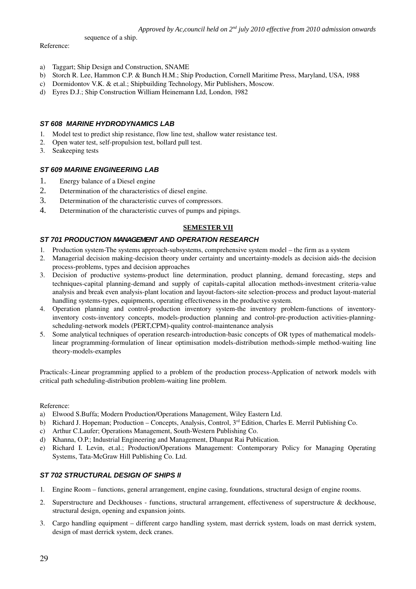sequence of a ship.

#### Reference:

- a) Taggart; Ship Design and Construction, SNAME
- b) Storch R. Lee, Hammon C.P. & Bunch H.M.; Ship Production, Cornell Maritime Press, Maryland, USA, 1988
- c) Dormidontov V.K. & et.al.; Shipbuilding Technology, Mir Publishers, Moscow.
- d) Eyres D.J.; Ship Construction William Heinemann Ltd, London, 1982

# *ST 608 MARINE HYDRODYNAMICS LAB*

- 1. Model test to predict ship resistance, flow line test, shallow water resistance test.
- 2. Open water test, self-propulsion test, bollard pull test.
- 3. Seakeeping tests

# *ST 609 MARINE ENGINEERING LAB*

- 1. Energy balance of a Diesel engine
- 2. Determination of the characteristics of diesel engine.
- 3. Determination of the characteristic curves of compressors.
- 4. Determination of the characteristic curves of pumps and pipings.

# **SEMESTER VII**

# *ST 701 PRODUCTION MANAGEMENT AND OPERATION RESEARCH*

- 1. Production system-The systems approach-subsystems, comprehensive system model the firm as a system
- 2. Managerial decision making-decision theory under certainty and uncertainty-models as decision aids-the decision process-problems, types and decision approaches
- 3. Decision of productive systems-product line determination, product planning, demand forecasting, steps and techniques-capital planning-demand and supply of capitals-capital allocation methods-investment criteria-value analysis and break even analysis-plant location and layout-factors-site selection-process and product layout-material handling systems-types, equipments, operating effectiveness in the productive system.
- 4. Operation planning and control-production inventory system-the inventory problem-functions of inventoryinventory costs-inventory concepts, models-production planning and control-pre-production activities-planningscheduling-network models (PERT,CPM)-quality control-maintenance analysis
- 5. Some analytical techniques of operation research-introduction-basic concepts of OR types of mathematical modelslinear programming-formulation of linear optimisation models-distribution methods-simple method-waiting line theory-models-examples

Practicals:-Linear programming applied to a problem of the production process-Application of network models with critical path scheduling-distribution problem-waiting line problem.

#### Reference:

- a) Elwood S.Buffa; Modern Production/Operations Management, Wiley Eastern Ltd.
- b) Richard J. Hopeman; Production Concepts, Analysis, Control, 3<sup>rd</sup> Edition, Charles E. Merril Publishing Co.
- c) Arthur C.Laufer; Operations Management, South-Western Publishing Co.
- d) Khanna, O.P.; Industrial Engineering and Management, Dhanpat Rai Publication.
- e) Richard I. Levin, et.al.; Production/Operations Management: Contemporary Policy for Managing Operating Systems, Tata-McGraw Hill Publishing Co. Ltd.

# *ST 702 STRUCTURAL DESIGN OF SHIPS II*

- 1. Engine Room functions, general arrangement, engine casing, foundations, structural design of engine rooms.
- 2. Superstructure and Deckhouses functions, structural arrangement, effectiveness of superstructure & deckhouse, structural design, opening and expansion joints.
- 3. Cargo handling equipment different cargo handling system, mast derrick system, loads on mast derrick system, design of mast derrick system, deck cranes.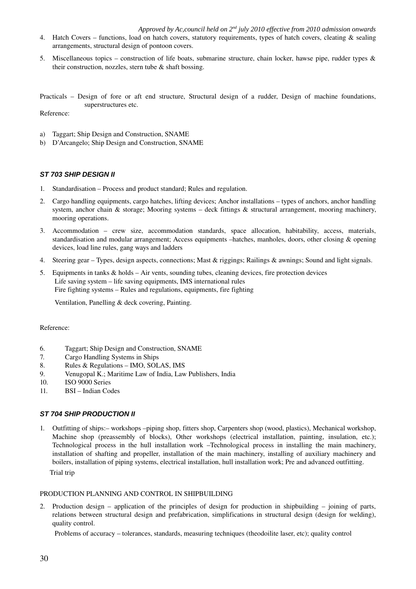- 4. Hatch Covers functions, load on hatch covers, statutory requirements, types of hatch covers, cleating & sealing arrangements, structural design of pontoon covers.
- 5. Miscellaneous topics construction of life boats, submarine structure, chain locker, hawse pipe, rudder types & their construction, nozzles, stern tube & shaft bossing.

Practicals – Design of fore or aft end structure, Structural design of a rudder, Design of machine foundations, superstructures etc.

Reference:

- a) Taggart; Ship Design and Construction, SNAME
- b) D'Arcangelo; Ship Design and Construction, SNAME

#### *ST 703 SHIP DESIGN II*

- 1. Standardisation Process and product standard; Rules and regulation.
- 2. Cargo handling equipments, cargo hatches, lifting devices; Anchor installations types of anchors, anchor handling system, anchor chain & storage; Mooring systems – deck fittings  $\&$  structural arrangement, mooring machinery, mooring operations.
- 3. Accommodation crew size, accommodation standards, space allocation, habitability, access, materials, standardisation and modular arrangement; Access equipments –hatches, manholes, doors, other closing & opening devices, load line rules, gang ways and ladders
- 4. Steering gear Types, design aspects, connections; Mast & riggings; Railings & awnings; Sound and light signals.
- 5. Equipments in tanks & holds Air vents, sounding tubes, cleaning devices, fire protection devices Life saving system – life saving equipments, IMS international rules Fire fighting systems – Rules and regulations, equipments, fire fighting

Ventilation, Panelling & deck covering, Painting.

#### Reference:

- 6. Taggart; Ship Design and Construction, SNAME
- 7. Cargo Handling Systems in Ships
- 8. Rules & Regulations IMO, SOLAS, IMS
- 9. Venugopal K.; Maritime Law of India, Law Publishers, India
- 10. ISO 9000 Series
- 11. BSI Indian Codes

#### *ST 704 SHIP PRODUCTION II*

1. Outfitting of ships:– workshops –piping shop, fitters shop, Carpenters shop (wood, plastics), Mechanical workshop, Machine shop (preassembly of blocks), Other workshops (electrical installation, painting, insulation, etc.); Technological process in the hull installation work –Technological process in installing the main machinery, installation of shafting and propeller, installation of the main machinery, installing of auxiliary machinery and boilers, installation of piping systems, electrical installation, hull installation work; Pre and advanced outfitting. Trial trip

### PRODUCTION PLANNING AND CONTROL IN SHIPBUILDING

2. Production design – application of the principles of design for production in shipbuilding – joining of parts, relations between structural design and prefabrication, simplifications in structural design (design for welding), quality control.

Problems of accuracy – tolerances, standards, measuring techniques (theodoilite laser, etc); quality control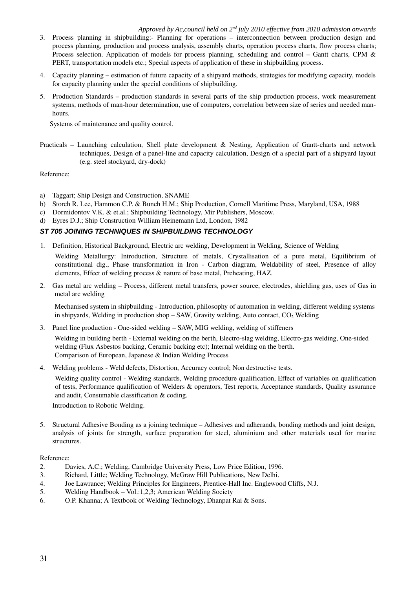- 3. Process planning in shipbuilding: Planning for operations interconnection between production design and process planning, production and process analysis, assembly charts, operation process charts, flow process charts; Process selection. Application of models for process planning, scheduling and control – Gantt charts, CPM & PERT, transportation models etc.; Special aspects of application of these in shipbuilding process.
- 4. Capacity planning estimation of future capacity of a shipyard methods, strategies for modifying capacity, models for capacity planning under the special conditions of shipbuilding.
- 5. Production Standards production standards in several parts of the ship production process, work measurement systems, methods of man-hour determination, use of computers, correlation between size of series and needed manhours.

Systems of maintenance and quality control.

Practicals – Launching calculation, Shell plate development  $\&$  Nesting, Application of Gantt-charts and network techniques, Design of a panel-line and capacity calculation, Design of a special part of a shipyard layout (e.g. steel stockyard, dry-dock)

Reference:

- a) Taggart; Ship Design and Construction, SNAME
- b) Storch R. Lee, Hammon C.P. & Bunch H.M.; Ship Production, Cornell Maritime Press, Maryland, USA, 1988
- c) Dormidontov V.K. & et.al.; Shipbuilding Technology, Mir Publishers, Moscow.
- d) Eyres D.J.; Ship Construction William Heinemann Ltd, London, 1982

# *ST 705 JOINING TECHNIQUES IN SHIPBUILDING TECHNOLOGY*

1. Definition, Historical Background, Electric arc welding, Development in Welding, Science of Welding

Welding Metallurgy: Introduction, Structure of metals, Crystallisation of a pure metal, Equilibrium of constitutional dig., Phase transformation in Iron - Carbon diagram, Weldability of steel, Presence of alloy elements, Effect of welding process & nature of base metal, Preheating, HAZ.

2. Gas metal arc welding – Process, different metal transfers, power source, electrodes, shielding gas, uses of Gas in metal arc welding

Mechanised system in shipbuilding - Introduction, philosophy of automation in welding, different welding systems in shipyards, Welding in production shop  $-$  SAW, Gravity welding, Auto contact,  $CO<sub>2</sub>$  Welding

3. Panel line production - One-sided welding – SAW, MIG welding, welding of stiffeners

Welding in building berth - External welding on the berth, Electro-slag welding, Electro-gas welding, One-sided welding (Flux Asbestos backing, Ceramic backing etc); Internal welding on the berth. Comparison of European, Japanese & Indian Welding Process

4. Welding problems - Weld defects, Distortion, Accuracy control; Non destructive tests.

Welding quality control - Welding standards, Welding procedure qualification, Effect of variables on qualification of tests, Performance qualification of Welders & operators, Test reports, Acceptance standards, Quality assurance and audit, Consumable classification & coding.

Introduction to Robotic Welding.

5. Structural Adhesive Bonding as a joining technique – Adhesives and adherands, bonding methods and joint design, analysis of joints for strength, surface preparation for steel, aluminium and other materials used for marine structures.

Reference:

- 2. Davies, A.C.; Welding, Cambridge University Press, Low Price Edition, 1996.
- 3. Richard, Little; Welding Technology, McGraw Hill Publications, New Delhi.
- 4. Joe Lawrance; Welding Principles for Engineers, PrenticeHall Inc. Englewood Cliffs, N.J.
- 5. Welding Handbook Vol.:1,2,3; American Welding Society
- 6. O.P. Khanna; A Textbook of Welding Technology, Dhanpat Rai & Sons.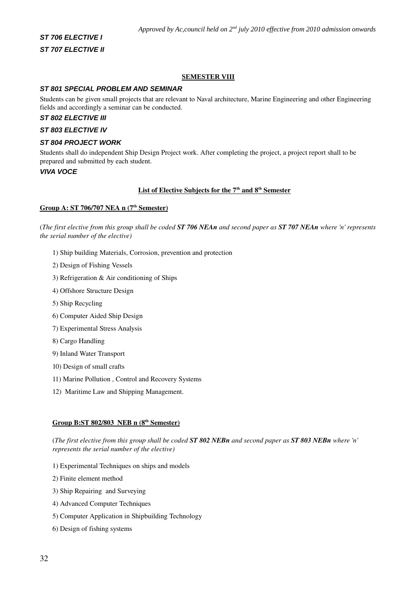# *ST 706 ELECTIVE I ST 707 ELECTIVE II*

# **SEMESTER VIII**

#### *ST 801 SPECIAL PROBLEM AND SEMINAR*

Students can be given small projects that are relevant to Naval architecture, Marine Engineering and other Engineering fields and accordingly a seminar can be conducted.

# *ST 802 ELECTIVE III*

#### *ST 803 ELECTIVE IV*

### *ST 804 PROJECT WORK*

Students shall do independent Ship Design Project work. After completing the project, a project report shall to be prepared and submitted by each student.

# *VIVA VOCE*

#### List of Elective Subjects for the 7<sup>th</sup> and 8<sup>th</sup> Semester

#### Group A: ST 706/707 NEA n (7<sup>th</sup> Semester)

(*The first elective from this group shall be coded ST 706 NEAn and second paper as ST 707 NEAn where 'n' represents the serial number of the elective)*

- 1) Ship building Materials, Corrosion, prevention and protection
- 2) Design of Fishing Vessels
- 3) Refrigeration & Air conditioning of Ships
- 4) Offshore Structure Design
- 5) Ship Recycling
- 6) Computer Aided Ship Design
- 7) Experimental Stress Analysis
- 8) Cargo Handling
- 9) Inland Water Transport
- 10) Design of small crafts
- 11) Marine Pollution , Control and Recovery Systems
- 12) Maritime Law and Shipping Management.

#### Group B:ST 802/803 NEB n (8<sup>th</sup> Semester)

(*The first elective from this group shall be coded ST 802 NEBn and second paper as ST 803 NEBn where 'n' represents the serial number of the elective)*

- 1) Experimental Techniques on ships and models
- 2) Finite element method
- 3) Ship Repairing and Surveying
- 4) Advanced Computer Techniques
- 5) Computer Application in Shipbuilding Technology
- 6) Design of fishing systems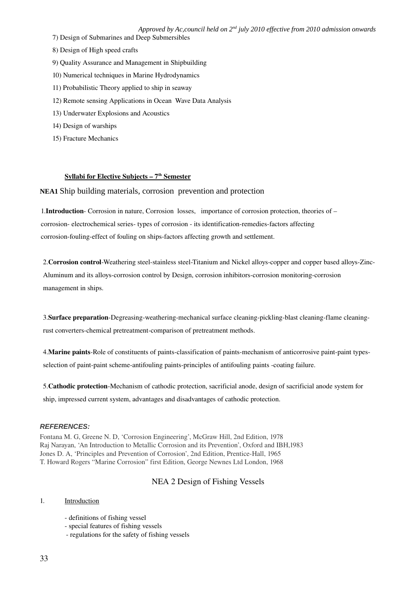- 7) Design of Submarines and Deep Submersibles
- 8) Design of High speed crafts
- 9) Quality Assurance and Management in Shipbuilding
- 10) Numerical techniques in Marine Hydrodynamics
- 11) Probabilistic Theory applied to ship in seaway
- 12) Remote sensing Applications in Ocean Wave Data Analysis
- 13) Underwater Explosions and Acoustics
- 14) Design of warships
- 15) Fracture Mechanics

#### Syllabi for Elective Subjects – 7<sup>th</sup> Semester

# **NEA1** Ship building materials, corrosion prevention and protection

1.Introduction Corrosion in nature, Corrosion losses, importance of corrosion protection, theories of – corrosion- electrochemical series-types of corrosion - its identification-remedies-factors affecting corrosion-fouling-effect of fouling on ships-factors affecting growth and settlement.

2. Corrosion control-Weathering steel-stainless steel-Titanium and Nickel alloys-copper and copper based alloys-Zinc-Aluminum and its alloys-corrosion control by Design, corrosion inhibitors-corrosion monitoring-corrosion management in ships.

3. Surface preparation-Degreasing-weathering-mechanical surface cleaning-pickling-blast cleaning-flame cleaningrust converters-chemical pretreatment-comparison of pretreatment methods.

4. Marine paints-Role of constituents of paints-classification of paints-mechanism of anticorrosive paint-paint typesselection of paint-paint scheme-antifouling paints-principles of antifouling paints -coating failure.

5. Cathodic protection-Mechanism of cathodic protection, sacrificial anode, design of sacrificial anode system for ship, impressed current system, advantages and disadvantages of cathodic protection.

#### *REFERENCES:*

Fontana M. G, Greene N. D, 'Corrosion Engineering', McGraw Hill, 2nd Edition, 1978 Raj Narayan, 'An Introduction to Metallic Corrosion and its Prevention', Oxford and IBH,1983 Jones D. A, 'Principles and Prevention of Corrosion', 2nd Edition, Prentice-Hall, 1965 T. Howard Rogers "Marine Corrosion" first Edition, George Newnes Ltd London, 1968

# NEA 2 Design of Fishing Vessels

# 1. Introduction

- definitions of fishing vessel
- special features of fishing vessels
- regulations for the safety of fishing vessels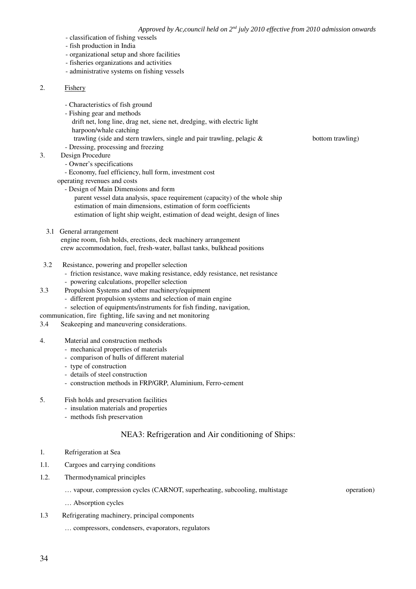- classification of fishing vessels
- fish production in India
- organizational setup and shore facilities
- fisheries organizations and activities
- administrative systems on fishing vessels

# 2. Fishery

- Characteristics of fish ground
- Fishing gear and methods
- drift net, long line, drag net, siene net, dredging, with electric light harpoon/whale catching
- trawling (side and stern trawlers, single and pair trawling, pelagic  $\&$  bottom trawling)
- Dressing, processing and freezing

#### 3. Design Procedure

- Owner's specifications
- Economy, fuel efficiency, hull form, investment cost
- operating revenues and costs
	- Design of Main Dimensions and form
		- parent vessel data analysis, space requirement (capacity) of the whole ship estimation of main dimensions, estimation of form coefficients estimation of light ship weight, estimation of dead weight, design of lines
- 3.1 General arrangement

engine room, fish holds, erections, deck machinery arrangement crew accommodation, fuel, fresh-water, ballast tanks, bulkhead positions

- 3.2 Resistance, powering and propeller selection
	- friction resistance, wave making resistance, eddy resistance, net resistance powering calculations, propeller selection
- 3.3 Propulsion Systems and other machinery/equipment
	- different propulsion systems and selection of main engine
	- selection of equipments/instruments for fish finding, navigation,
- communication, fire fighting, life saving and net monitoring
- 3.4 Seakeeping and maneuvering considerations.
- 4. Material and construction methods
	- mechanical properties of materials
	- comparison of hulls of different material
	- type of construction
	- details of steel construction
	- construction methods in FRP/GRP, Aluminium, Ferro-cement
- 5. Fish holds and preservation facilities
	- insulation materials and properties
	- methods fish preservation

# NEA3: Refrigeration and Air conditioning of Ships:

- 1. Refrigeration at Sea
- 1.1. Cargoes and carrying conditions
- 1.2. Thermodynamical principles
	- … vapour, compression cycles (CARNOT, superheating, subcooling, multistage operation)
	- … Absorption cycles
- 1.3 Refrigerating machinery, principal components
	- … compressors, condensers, evaporators, regulators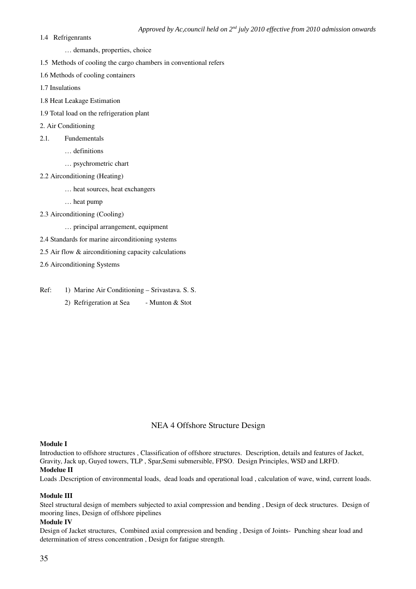- 1.4 Refrigenrants
	- … demands, properties, choice
- 1.5 Methods of cooling the cargo chambers in conventional refers
- 1.6 Methods of cooling containers
- 1.7 Insulations
- 1.8 Heat Leakage Estimation
- 1.9 Total load on the refrigeration plant
- 2. Air Conditioning
- 2.1. Fundementals
	- … definitions
	- … psychrometric chart
- 2.2 Airconditioning (Heating)
	- … heat sources, heat exchangers
	- … heat pump
- 2.3 Airconditioning (Cooling)
	- … principal arrangement, equipment
- 2.4 Standards for marine airconditioning systems
- 2.5 Air flow & airconditioning capacity calculations
- 2.6 Airconditioning Systems
- Ref: 1) Marine Air Conditioning Srivastava. S. S. 2) Refrigeration at Sea - Munton & Stot

# NEA 4 Offshore Structure Design

#### Module I

Introduction to offshore structures , Classification of offshore structures. Description, details and features of Jacket, Gravity, Jack up, Guyed towers, TLP , Spar,Semi submersible, FPSO. Design Principles, WSD and LRFD.

# Modelue II

Loads .Description of environmental loads, dead loads and operational load , calculation of wave, wind, current loads.

# Module III

Steel structural design of members subjected to axial compression and bending , Design of deck structures. Design of mooring lines, Design of offshore pipelines

#### Module IV

Design of Jacket structures, Combined axial compression and bending, Design of Joints-Punching shear load and determination of stress concentration , Design for fatigue strength.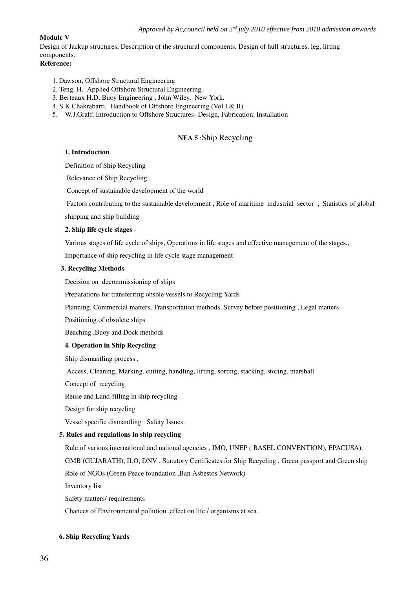# Module V

Design of Jackup structures, Description of the structural components, Design of hull structures, leg, lifting components.

# Reference:

- 1. Dawson, Offshore Structural Engineering
- 2. Teng. H, Applied Offshore Structural Engineering.
- 3. Berteaux H.D, Buoy Engineering , John Wiley, New York.
- 4. S.K.Chakrabarti, Handbook of Offshore Engineering (Vol I & II)
- 5. W.J.Graff, Introduction to Offshore Structures- Design, Fabrication, Installation

# NEA 5 :Ship Recycling

# 1. Introduction

Definition of Ship Recycling

Relevance of Ship Recycling

Concept of sustainable development of the world

Factors contributing to the sustainable development, Role of maritime industrial sector, Statistics of global

shipping and ship building

# 2. Ship life cycle stages

Various stages of life cycle of ships, Operations in life stages and effective management of the stages.,

Importance of ship recycling in life cycle stage management

#### 3. Recycling Methods

Decision on decommissioning of ships

Preparations for transferring obsole vessels to Recycling Yards

Planning, Commercial matters, Transportation methods, Survey before positioning , Legal matters

Positioning of obsolete ships

Beaching ,Buoy and Dock methods

# 4. Operation in Ship Recycling

Ship dismantling process ,

Access, Cleaning, Marking, cutting, handling, lifting, sorting, stacking, storing, marshall

Concept of recycling

Reuse and Land-filling in ship recycling

Design for ship recycling

Vessel specific dismantling : Safety Issues.

# 5. Rules and regulations in ship recycling

Rule of various international and national agencies , IMO, UNEP ( BASEL CONVENTION), EPACUSA),

GMB (GUJARATH), ILO, DNV , Statutory Certificates for Ship Recycling , Green passport and Green ship

Role of NGOs (Green Peace foundation ,Ban Asbestos Network)

Inventory list

Safety matters/ requirements

Chances of Environmental pollution ,effect on life / organisms at sea.

# 6. Ship Recycling Yards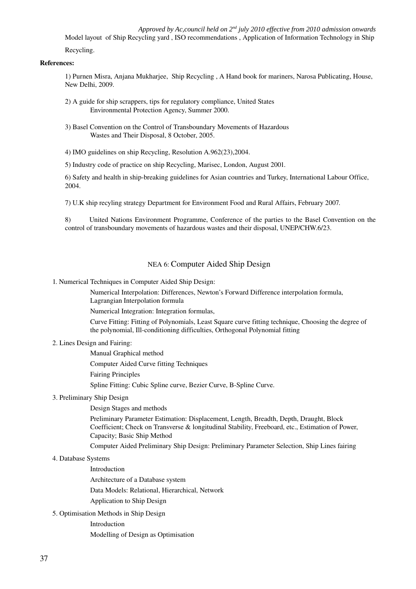*Approved by Ac,council held on 2nd july 2010 effective from 2010 admission onwards* Model layout of Ship Recycling yard , ISO recommendations , Application of Information Technology in Ship

Recycling.

#### References:

1) Purnen Misra, Anjana Mukharjee, Ship Recycling , A Hand book for mariners, Narosa Publicating, House, New Delhi, 2009.

- 2) A guide for ship scrappers, tips for regulatory compliance, United States Environmental Protection Agency, Summer 2000.
- 3) Basel Convention on the Control of Transboundary Movements of Hazardous Wastes and Their Disposal, 8 October, 2005.
- 4) IMO guidelines on ship Recycling, Resolution A.962(23),2004.

5) Industry code of practice on ship Recycling, Marisec, London, August 2001.

6) Safety and health in ship-breaking guidelines for Asian countries and Turkey, International Labour Office, 2004.

7) U.K ship recyling strategy Department for Environment Food and Rural Affairs, February 2007.

8) United Nations Environment Programme, Conference of the parties to the Basel Convention on the control of transboundary movements of hazardous wastes and their disposal, UNEP/CHW.6/23.

# NEA 6: Computer Aided Ship Design

1. Numerical Techniques in Computer Aided Ship Design:

Numerical Interpolation: Differences, Newton's Forward Difference interpolation formula, Lagrangian Interpolation formula

Numerical Integration: Integration formulas,

Curve Fitting: Fitting of Polynomials, Least Square curve fitting technique, Choosing the degree of the polynomial, Ill-conditioning difficulties, Orthogonal Polynomial fitting

#### 2. Lines Design and Fairing:

Manual Graphical method

Computer Aided Curve fitting Techniques

Fairing Principles

Spline Fitting: Cubic Spline curve, Bezier Curve, B-Spline Curve.

#### 3. Preliminary Ship Design

Design Stages and methods

Preliminary Parameter Estimation: Displacement, Length, Breadth, Depth, Draught, Block Coefficient; Check on Transverse & longitudinal Stability, Freeboard, etc., Estimation of Power, Capacity; Basic Ship Method

Computer Aided Preliminary Ship Design: Preliminary Parameter Selection, Ship Lines fairing

#### 4. Database Systems

Introduction

Architecture of a Database system

Data Models: Relational, Hierarchical, Network

Application to Ship Design

5. Optimisation Methods in Ship Design

# Introduction

Modelling of Design as Optimisation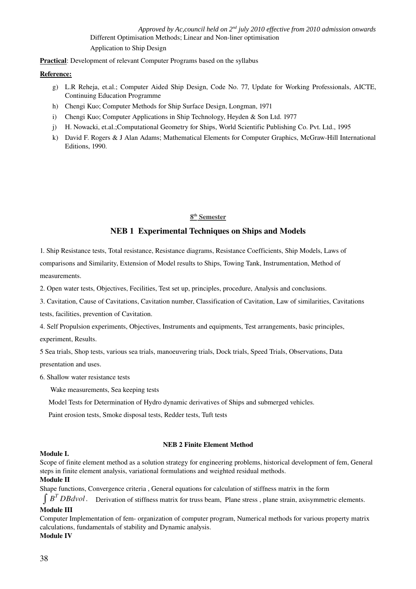*Approved by Ac,council held on 2nd july 2010 effective from 2010 admission onwards* Different Optimisation Methods; Linear and Non-liner optimisation Application to Ship Design

Practical: Development of relevant Computer Programs based on the syllabus

#### Reference:

- g) L.R Reheja, et.al.; Computer Aided Ship Design, Code No. 77, Update for Working Professionals, AICTE, Continuing Education Programme
- h) Chengi Kuo; Computer Methods for Ship Surface Design, Longman, 1971
- i) Chengi Kuo; Computer Applications in Ship Technology, Heyden & Son Ltd. 1977
- j) H. Nowacki, et.al.;Computational Geometry for Ships, World Scientific Publishing Co. Pvt. Ltd., 1995
- k) David F. Rogers & J Alan Adams; Mathematical Elements for Computer Graphics, McGraw-Hill International Editions, 1990.

### 8<sup>th</sup> Semester

# NEB 1 Experimental Techniques on Ships and Models

1. Ship Resistance tests, Total resistance, Resistance diagrams, Resistance Coefficients, Ship Models, Laws of comparisons and Similarity, Extension of Model results to Ships, Towing Tank, Instrumentation, Method of measurements.

2. Open water tests, Objectives, Fecilities, Test set up, principles, procedure, Analysis and conclusions.

3. Cavitation, Cause of Cavitations, Cavitation number, Classification of Cavitation, Law of similarities, Cavitations tests, facilities, prevention of Cavitation.

4. Self Propulsion experiments, Objectives, Instruments and equipments, Test arrangements, basic principles, experiment, Results.

5 Sea trials, Shop tests, various sea trials, manoeuvering trials, Dock trials, Speed Trials, Observations, Data presentation and uses.

6. Shallow water resistance tests

Wake measurements, Sea keeping tests

Model Tests for Determination of Hydro dynamic derivatives of Ships and submerged vehicles.

Paint erosion tests, Smoke disposal tests, Redder tests, Tuft tests

#### NEB 2 Finite Element Method

#### Module I.

Scope of finite element method as a solution strategy for engineering problems, historical development of fem, General steps in finite element analysis, variational formulations and weighted residual methods. Module II

Shape functions, Convergence criteria , General equations for calculation of stiffness matrix in the form

∫ *<sup>B</sup> <sup>T</sup> DBdvol*. Derivation of stiffness matrix for truss beam, Plane stress , plane strain, axisymmetric elements. Module III

Computer Implementation of fem-organization of computer program, Numerical methods for various property matrix calculations, fundamentals of stability and Dynamic analysis. Module IV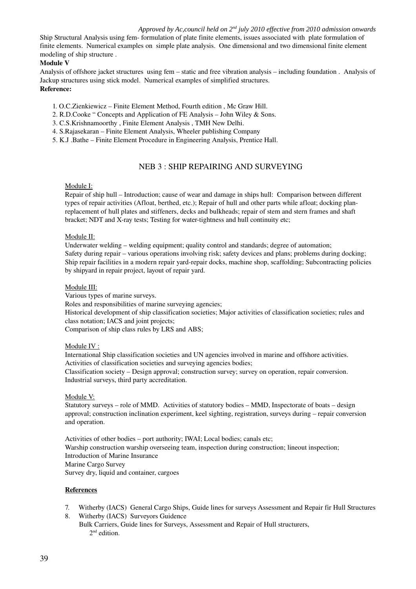Ship Structural Analysis using fem-formulation of plate finite elements, issues associated with plate formulation of finite elements. Numerical examples on simple plate analysis. One dimensional and two dimensional finite element modeling of ship structure .

### Module V

Analysis of offshore jacket structures using fem – static and free vibration analysis – including foundation . Analysis of Jackup structures using stick model. Numerical examples of simplified structures. Reference:

# 1. O.C.Zienkiewicz – Finite Element Method, Fourth edition , Mc Graw Hill.

2. R.D.Cooke " Concepts and Application of FE Analysis – John Wiley & Sons.

- 3. C.S.Krishnamoorthy , Finite Element Analysis , TMH New Delhi.
- 4. S.Rajasekaran Finite Element Analysis, Wheeler publishing Company
- 5. K.J .Bathe Finite Element Procedure in Engineering Analysis, Prentice Hall.

# NEB 3 : SHIP REPAIRING AND SURVEYING

# Module I:

Repair of ship hull – Introduction; cause of wear and damage in ships hull: Comparison between different types of repair activities (Afloat, berthed, etc.); Repair of hull and other parts while afloat; docking planreplacement of hull plates and stiffeners, decks and bulkheads; repair of stem and stern frames and shaft bracket; NDT and X-ray tests; Testing for water-tightness and hull continuity etc;

# Module II:

Underwater welding – welding equipment; quality control and standards; degree of automation; Safety during repair – various operations involving risk; safety devices and plans; problems during docking; Ship repair facilities in a modern repair yard-repair docks, machine shop, scaffolding; Subcontracting policies by shipyard in repair project, layout of repair yard.

#### Module III:

Various types of marine surveys.

Roles and responsibilities of marine surveying agencies;

Historical development of ship classification societies; Major activities of classification societies; rules and class notation; IACS and joint projects;

Comparison of ship class rules by LRS and ABS;

#### Module IV :

International Ship classification societies and UN agencies involved in marine and offshore activities. Activities of classification societies and surveying agencies bodies; Classification society – Design approval; construction survey; survey on operation, repair conversion. Industrial surveys, third party accreditation.

#### Module V:

Statutory surveys – role of MMD. Activities of statutory bodies – MMD, Inspectorate of boats – design approval; construction inclination experiment, keel sighting, registration, surveys during – repair conversion and operation.

Activities of other bodies – port authority; IWAI; Local bodies; canals etc; Warship construction warship overseeing team, inspection during construction; lineout inspection; Introduction of Marine Insurance Marine Cargo Survey Survey dry, liquid and container, cargoes

# References

- 7. Witherby (IACS) General Cargo Ships, Guide lines for surveys Assessment and Repair fir Hull Structures
- 8. Witherby (IACS) Surveyors Guidence
- Bulk Carriers, Guide lines for Surveys, Assessment and Repair of Hull structurers, 2<sup>nd</sup> edition.